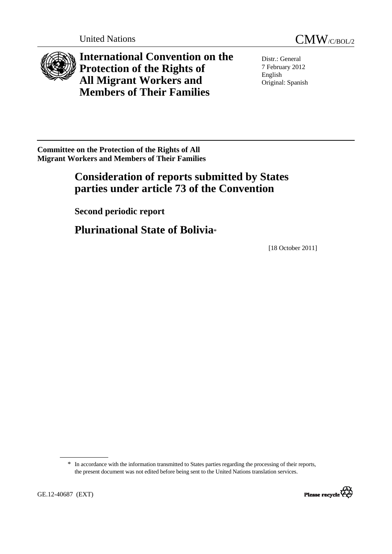



**International Convention on the Protection of the Rights of All Migrant Workers and Members of Their Families** 

Distr.: General 7 February 2012 English Original: Spanish

**Committee on the Protection of the Rights of All Migrant Workers and Members of Their Families** 

# **Consideration of reports submitted by States parties under article 73 of the Convention**

 **Second periodic report**

 **Plurinational State of Bolivia**\*

[18 October 2011]

<sup>\*</sup> In accordance with the information transmitted to States parties regarding the processing of their reports, the present document was not edited before being sent to the United Nations translation services.

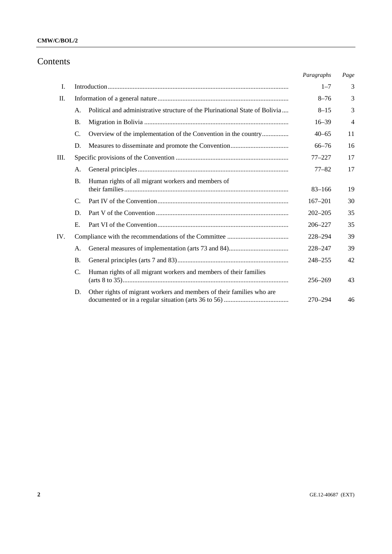# Contents

|     |                                                                                    | Paragraphs  | Page           |
|-----|------------------------------------------------------------------------------------|-------------|----------------|
| I.  |                                                                                    | $1 - 7$     | 3              |
| Π.  |                                                                                    | $8 - 76$    | 3              |
|     | Political and administrative structure of the Plurinational State of Bolivia<br>A. | $8 - 15$    | 3              |
|     | <b>B.</b>                                                                          | $16 - 39$   | $\overline{4}$ |
|     | Overview of the implementation of the Convention in the country<br>$\mathbf{C}$ .  | $40 - 65$   | 11             |
|     | D.                                                                                 | $66 - 76$   | 16             |
| Ш.  |                                                                                    | $77 - 227$  | 17             |
|     | А.                                                                                 | $77 - 82$   | 17             |
|     | Human rights of all migrant workers and members of<br><b>B.</b>                    | $83 - 166$  | 19             |
|     | $\mathcal{C}$                                                                      | $167 - 201$ | 30             |
|     | D.                                                                                 | $202 - 205$ | 35             |
|     | E.                                                                                 | $206 - 227$ | 35             |
| IV. |                                                                                    | 228-294     | 39             |
|     | А.                                                                                 | $228 - 247$ | 39             |
|     | <b>B.</b>                                                                          | 248-255     | 42             |
|     | C.<br>Human rights of all migrant workers and members of their families            | 256-269     | 43             |
|     | Other rights of migrant workers and members of their families who are<br>D.        | 270-294     | 46             |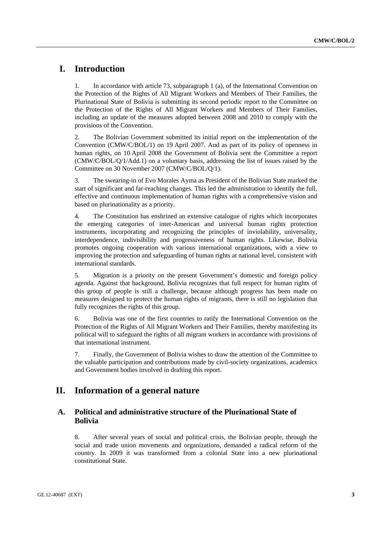# **I. Introduction**

1. In accordance with article 73, subparagraph 1 (a), of the International Convention on the Protection of the Rights of All Migrant Workers and Members of Their Families, the Plurinational State of Bolivia is submitting its second periodic report to the Committee on the Protection of the Rights of All Migrant Workers and Members of Their Families, including an update of the measures adopted between 2008 and 2010 to comply with the provisions of the Convention.

2. The Bolivian Government submitted its initial report on the implementation of the Convention (CMW/C/BOL/1) on 19 April 2007. And as part of its policy of openness in human rights, on 10 April 2008 the Government of Bolivia sent the Committee a report (CMW/C/BOL/Q/1/Add.1) on a voluntary basis, addressing the list of issues raised by the Committee on 30 November 2007 (CMW/C/BOL/Q/1).

3. The swearing-in of Evo Morales Ayma as President of the Bolivian State marked the start of significant and far-reaching changes. This led the administration to identify the full, effective and continuous implementation of human rights with a comprehensive vision and based on plurinationality as a priority.

4. The Constitution has enshrined an extensive catalogue of rights which incorporates the emerging categories of inter-American and universal human rights protection instruments, incorporating and recognizing the principles of inviolability, universality, interdependence, indivisibility and progressiveness of human rights. Likewise, Bolivia promotes ongoing cooperation with various international organizations, with a view to improving the protection and safeguarding of human rights at national level, consistent with international standards.

5. Migration is a priority on the present Government's domestic and foreign policy agenda. Against that background, Bolivia recognizes that full respect for human rights of this group of people is still a challenge, because although progress has been made on measures designed to protect the human rights of migrants, there is still no legislation that fully recognizes the rights of this group.

6. Bolivia was one of the first countries to ratify the International Convention on the Protection of the Rights of All Migrant Workers and Their Families, thereby manifesting its political will to safeguard the rights of all migrant workers in accordance with provisions of that international instrument.

7. Finally, the Government of Bolivia wishes to draw the attention of the Committee to the valuable participation and contributions made by civil-society organizations, academics and Government bodies involved in drafting this report.

# **II. Information of a general nature**

# **A. Political and administrative structure of the Plurinational State of Bolivia**

8. After several years of social and political crisis, the Bolivian people, through the social and trade union movements and organizations, demanded a radical reform of the country. In 2009 it was transformed from a colonial State into a new plurinational constitutional State.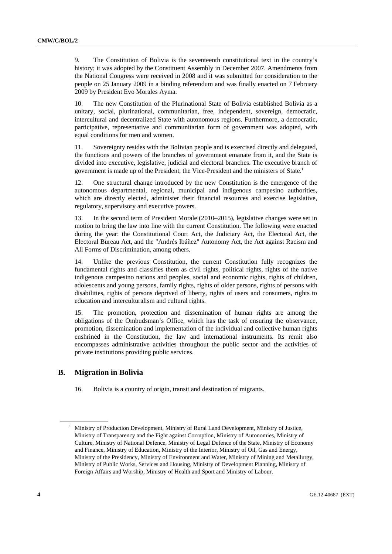9. The Constitution of Bolivia is the seventeenth constitutional text in the country's history; it was adopted by the Constituent Assembly in December 2007. Amendments from the National Congress were received in 2008 and it was submitted for consideration to the people on 25 January 2009 in a binding referendum and was finally enacted on 7 February 2009 by President Evo Morales Ayma.

10. The new Constitution of the Plurinational State of Bolivia established Bolivia as a unitary, social, plurinational, communitarian, free, independent, sovereign, democratic, intercultural and decentralized State with autonomous regions. Furthermore, a democratic, participative, representative and communitarian form of government was adopted, with equal conditions for men and women.

11. Sovereignty resides with the Bolivian people and is exercised directly and delegated, the functions and powers of the branches of government emanate from it, and the State is divided into executive, legislative, judicial and electoral branches. The executive branch of government is made up of the President, the Vice-President and the ministers of State.<sup>1</sup>

12. One structural change introduced by the new Constitution is the emergence of the autonomous departmental, regional, municipal and indigenous campesino authorities, which are directly elected, administer their financial resources and exercise legislative, regulatory, supervisory and executive powers.

13. In the second term of President Morale (2010–2015), legislative changes were set in motion to bring the law into line with the current Constitution. The following were enacted during the year: the Constitutional Court Act, the Judiciary Act, the Electoral Act, the Electoral Bureau Act, and the "Andrés Ibáñez" Autonomy Act, the Act against Racism and All Forms of Discrimination, among others.

14. Unlike the previous Constitution, the current Constitution fully recognizes the fundamental rights and classifies them as civil rights, political rights, rights of the native indigenous campesino nations and peoples, social and economic rights, rights of children, adolescents and young persons, family rights, rights of older persons, rights of persons with disabilities, rights of persons deprived of liberty, rights of users and consumers, rights to education and interculturalism and cultural rights.

15. The promotion, protection and dissemination of human rights are among the obligations of the Ombudsman's Office, which has the task of ensuring the observance, promotion, dissemination and implementation of the individual and collective human rights enshrined in the Constitution, the law and international instruments. Its remit also encompasses administrative activities throughout the public sector and the activities of private institutions providing public services.

# **B. Migration in Bolivia**

16. Bolivia is a country of origin, transit and destination of migrants.

<sup>&</sup>lt;sup>1</sup> Ministry of Production Development, Ministry of Rural Land Development, Ministry of Justice, Ministry of Transparency and the Fight against Corruption, Ministry of Autonomies, Ministry of Culture, Ministry of National Defence, Ministry of Legal Defence of the State, Ministry of Economy and Finance, Ministry of Education, Ministry of the Interior, Ministry of Oil, Gas and Energy, Ministry of the Presidency, Ministry of Environment and Water, Ministry of Mining and Metallurgy, Ministry of Public Works, Services and Housing, Ministry of Development Planning, Ministry of Foreign Affairs and Worship, Ministry of Health and Sport and Ministry of Labour.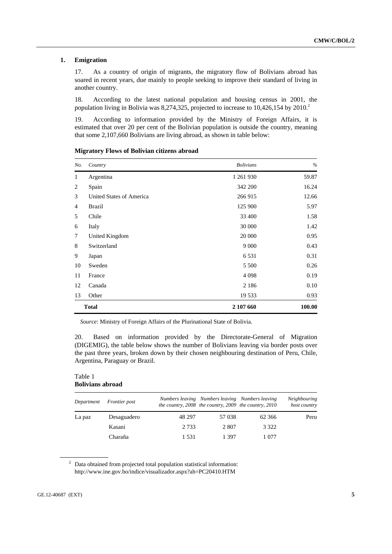### **1. Emigration**

17. As a country of origin of migrants, the migratory flow of Bolivians abroad has soared in recent years, due mainly to people seeking to improve their standard of living in another country.

18. According to the latest national population and housing census in 2001, the population living in Bolivia was 8,274,325, projected to increase to 10,426,154 by 2010.<sup>2</sup>

19. According to information provided by the Ministry of Foreign Affairs, it is estimated that over 20 per cent of the Bolivian population is outside the country, meaning that some 2,107,660 Bolivians are living abroad, as shown in table below:

| No.            | Country                  | <b>Bolivians</b> | $\%$   |
|----------------|--------------------------|------------------|--------|
| $\mathbf{1}$   | Argentina                | 1 261 930        | 59.87  |
| 2              | Spain                    | 342 200          | 16.24  |
| 3              | United States of America | 266 915          | 12.66  |
| $\overline{4}$ | <b>Brazil</b>            | 125 900          | 5.97   |
| 5              | Chile                    | 33 400           | 1.58   |
| 6              | Italy                    | 30 000           | 1.42   |
| 7              | United Kingdom           | 20 000           | 0.95   |
| 8              | Switzerland              | 9 0 0 0          | 0.43   |
| 9              | Japan                    | 6 5 3 1          | 0.31   |
| 10             | Sweden                   | 5 5 0 0          | 0.26   |
| 11             | France                   | 4 0 9 8          | 0.19   |
| 12             | Canada                   | 2 1 8 6          | 0.10   |
| 13             | Other                    | 19 533           | 0.93   |
|                | <b>Total</b>             | 2 107 660        | 100.00 |

 **Migratory Flows of Bolivian citizens abroad** 

*Source*: Ministry of Foreign Affairs of the Plurinational State of Bolivia.

20. Based on information provided by the Directorate-General of Migration (DIGEMIG), the table below shows the number of Bolivians leaving via border posts over the past three years, broken down by their chosen neighbouring destination of Peru, Chile, Argentina, Paraguay or Brazil.

#### Table 1 **Bolivians abroad**

| Department | <i>Frontier post</i> |         | Numbers leaving Numbers leaving Numbers leaving<br>the country, 2008 the country, 2009 the country, 2010 |         | <b>Neighbouring</b><br>host country |
|------------|----------------------|---------|----------------------------------------------------------------------------------------------------------|---------|-------------------------------------|
| La paz     | Desaguadero          | 48 297  | 57 038                                                                                                   | 62 366  | Peru                                |
|            | Kasani               | 2 7 3 3 | 2 807                                                                                                    | 3 3 2 2 |                                     |
|            | Charaña              | 1.531   | 1 397                                                                                                    | 1 077   |                                     |

 $2$  Data obtained from projected total population statistical information: http://www.ine.gov.bo/indice/visualizador.aspx?ah=PC20410.HTM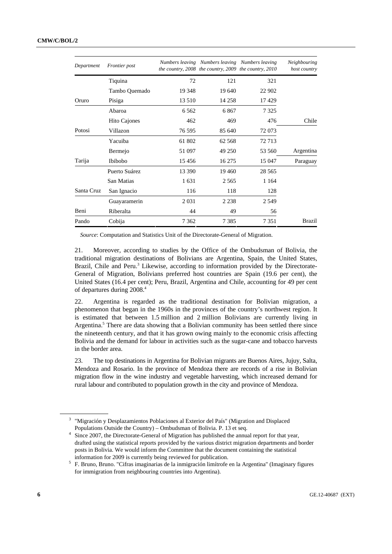| Department | Frontier post |         | Numbers leaving Numbers leaving Numbers leaving<br>the country, 2008 the country, 2009 the country, 2010 |         | Neighbouring<br>host country |
|------------|---------------|---------|----------------------------------------------------------------------------------------------------------|---------|------------------------------|
|            | Tiquina       | 72      | 121                                                                                                      | 321     |                              |
|            | Tambo Quemado | 19 3 48 | 19 640                                                                                                   | 22 902  |                              |
| Oruro      | Pisiga        | 13 510  | 14 258                                                                                                   | 17429   |                              |
|            | Abaroa        | 6 5 6 2 | 6867                                                                                                     | 7 3 2 5 |                              |
|            | Hito Cajones  | 462     | 469                                                                                                      | 476     | Chile                        |
| Potosi     | Villazon      | 76 595  | 85 640                                                                                                   | 72 073  |                              |
|            | Yacuiba       | 61 802  | 62 5 68                                                                                                  | 72 713  |                              |
|            | Bermejo       | 51 097  | 49 250                                                                                                   | 53 560  | Argentina                    |
| Tarija     | Ibibobo       | 15456   | 16 275                                                                                                   | 15 047  | Paraguay                     |
|            | Puerto Suárez | 13 390  | 19460                                                                                                    | 28.565  |                              |
|            | San Matias    | 1631    | 2 5 6 5                                                                                                  | 1 1 6 4 |                              |
| Santa Cruz | San Ignacio   | 116     | 118                                                                                                      | 128     |                              |
|            | Guayaramerin  | 2 0 3 1 | 2 2 3 8                                                                                                  | 2.549   |                              |
| Beni       | Riberalta     | 44      | 49                                                                                                       | 56      |                              |
| Pando      | Cobija        | 7 3 6 2 | 7 3 8 5                                                                                                  | 7 3 5 1 | <b>Brazil</b>                |

*Source*: Computation and Statistics Unit of the Directorate-General of Migration.

21. Moreover, according to studies by the Office of the Ombudsman of Bolivia, the traditional migration destinations of Bolivians are Argentina, Spain, the United States, Brazil, Chile and Peru.<sup>3</sup> Likewise, according to information provided by the Directorate-General of Migration, Bolivians preferred host countries are Spain (19.6 per cent), the United States (16.4 per cent); Peru, Brazil, Argentina and Chile, accounting for 49 per cent of departures during 2008.4

22. Argentina is regarded as the traditional destination for Bolivian migration, a phenomenon that began in the 1960s in the provinces of the country's northwest region. It is estimated that between 1.5 million and 2 million Bolivians are currently living in Argentina.<sup>5</sup> There are data showing that a Bolivian community has been settled there since the nineteenth century, and that it has grown owing mainly to the economic crisis affecting Bolivia and the demand for labour in activities such as the sugar-cane and tobacco harvests in the border area.

23. The top destinations in Argentina for Bolivian migrants are Buenos Aires, Jujuy, Salta, Mendoza and Rosario. In the province of Mendoza there are records of a rise in Bolivian migration flow in the wine industry and vegetable harvesting, which increased demand for rural labour and contributed to population growth in the city and province of Mendoza.

<sup>&</sup>lt;sup>3</sup> "Migración y Desplazamientos Poblaciones al Exterior del País" (Migration and Displaced Populations Outside the Country) – Ombudsman of Bolivia. P. 13 et seq.

<sup>&</sup>lt;sup>4</sup> Since 2007, the Directorate-General of Migration has published the annual report for that year, drafted using the statistical reports provided by the various district migration departments and border posts in Bolivia. We would inform the Committee that the document containing the statistical information for 2009 is currently being reviewed for publication. 5

F. Bruno, Bruno. "Cifras imaginarias de la inmigración limítrofe en la Argentina" (Imaginary figures for immigration from neighbouring countries into Argentina).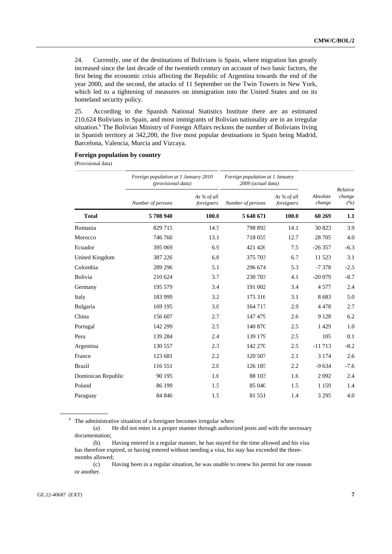24. Currently, one of the destinations of Bolivians is Spain, where migration has greatly increased since the last decade of the twentieth century on account of two basic factors, the first being the economic crisis affecting the Republic of Argentina towards the end of the year 2000, and the second, the attacks of 11 September on the Twin Towers in New York, which led to a tightening of measures on immigration into the United States and on its homeland security policy.

25. According to the Spanish National Statistics Institute there are an estimated 210,624 Bolivians in Spain, and most immigrants of Bolivian nationality are in an irregular situation.<sup>6</sup> The Bolivian Ministry of Foreign Affairs reckons the number of Bolivians living in Spanish territory at 342,200, the five most popular destinations in Spain being Madrid, Barcelona, Valencia, Murcia and Vizcaya.

# **Foreign population by country**

(Provisional data)

|                    | Foreign population at 1 January 2010<br>(provisional data) |                           | Foreign population at 1 January<br>2009 (actual data) |                           |                    | Relative      |
|--------------------|------------------------------------------------------------|---------------------------|-------------------------------------------------------|---------------------------|--------------------|---------------|
|                    | Number of persons                                          | As % of all<br>foreigners | Number of persons                                     | As % of all<br>foreigners | Absolute<br>change | change<br>(%) |
| <b>Total</b>       | 5708940                                                    | 100.0                     | 5 648 671                                             | 100.0                     | 60 269             | 1.1           |
| Romania            | 829 715                                                    | 14.5                      | 798 892                                               | 14.1                      | 30 823             | 3.9           |
| Morocco            | 746 760                                                    | 13.1                      | 718 055                                               | 12.7                      | 28 705             | 4.0           |
| Ecuador            | 395 069                                                    | 6.9                       | 421 426                                               | 7.5                       | $-26357$           | $-6.3$        |
| United Kingdom     | 387 226                                                    | 6.8                       | 375 703                                               | 6.7                       | 11 523             | 3.1           |
| Colombia           | 289 296                                                    | 5.1                       | 296 674                                               | 5.3                       | $-7378$            | $-2.5$        |
| Bolivia            | 210 624                                                    | 3.7                       | 230 703                                               | 4.1                       | $-20079$           | $-8.7$        |
| Germany            | 195 579                                                    | 3.4                       | 191 002                                               | 3.4                       | 4577               | 2.4           |
| Italy              | 183 999                                                    | 3.2                       | 175 316                                               | 3.1                       | 8683               | 5.0           |
| Bulgaria           | 169 195                                                    | 3.0                       | 164 717                                               | 2.9                       | 4478               | 2.7           |
| China              | 156 607                                                    | 2.7                       | 147 479                                               | 2.6                       | 9 1 2 8            | 6.2           |
| Portugal           | 142 299                                                    | 2.5                       | 140 870                                               | 2.5                       | 1429               | 1.0           |
| Peru               | 139 284                                                    | 2.4                       | 139 179                                               | 2.5                       | 105                | 0.1           |
| Argentina          | 130 557                                                    | 2.3                       | 142 270                                               | 2.5                       | $-11713$           | $-8.2$        |
| France             | 123 681                                                    | 2.2                       | 120 507                                               | 2.1                       | 3 1 7 4            | 2.6           |
| <b>Brazil</b>      | 116 551                                                    | 2.0                       | 126 185                                               | 2.2                       | $-9634$            | $-7.6$        |
| Dominican Republic | 90 195                                                     | 1.6                       | 88 103                                                | 1.6                       | 2092               | 2.4           |
| Poland             | 86 199                                                     | 1.5                       | 85 040                                                | 1.5                       | 1 1 5 9            | 1.4           |
| Paraguay           | 84 846                                                     | 1.5                       | 81 551                                                | 1.4                       | 3 2 9 5            | 4.0           |

 $6$  The administrative situation of a foreigner becomes irregular when:

 (a) He did not enter in a proper manner through authorized posts and with the necessary documentation;

 <sup>(</sup>b) Having entered in a regular manner, he has stayed for the time allowed and his visa has therefore expired, or having entered without needing a visa, his stay has exceeded the threemonths allowed;

 <sup>(</sup>c) Having been in a regular situation, he was unable to renew his permit for one reason or another.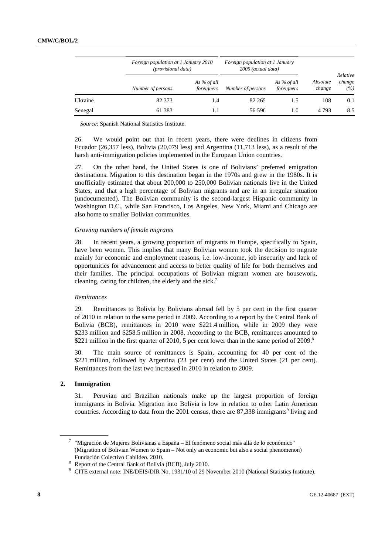|         | Foreign population at 1 January 2010<br>(provisional data) |                           | Foreign population at 1 January<br>2009 (actual data) |                           | Relative           |               |
|---------|------------------------------------------------------------|---------------------------|-------------------------------------------------------|---------------------------|--------------------|---------------|
|         | Number of persons                                          | As % of all<br>foreigners | Number of persons                                     | As % of all<br>foreigners | Absolute<br>change | change<br>(%) |
| Ukraine | 82 373                                                     | 1.4                       | 82 265                                                | 1.5                       | 108                | 0.1           |
| Senegal | 61 383                                                     |                           | 56 590                                                | 1.0                       | 4 7 9 3            | 8.5           |

*Source*: Spanish National Statistics Institute.

26. We would point out that in recent years, there were declines in citizens from Ecuador (26,357 less), Bolivia (20,079 less) and Argentina (11,713 less), as a result of the harsh anti-immigration policies implemented in the European Union countries.

27. On the other hand, the United States is one of Bolivians' preferred emigration destinations. Migration to this destination began in the 1970s and grew in the 1980s. It is unofficially estimated that about 200,000 to 250,000 Bolivian nationals live in the United States, and that a high percentage of Bolivian migrants and are in an irregular situation (undocumented). The Bolivian community is the second-largest Hispanic community in Washington D.C., while San Francisco, Los Angeles, New York, Miami and Chicago are also home to smaller Bolivian communities.

#### *Growing numbers of female migrants*

28. In recent years, a growing proportion of migrants to Europe, specifically to Spain, have been women. This implies that many Bolivian women took the decision to migrate mainly for economic and employment reasons, i.e. low-income, job insecurity and lack of opportunities for advancement and access to better quality of life for both themselves and their families. The principal occupations of Bolivian migrant women are housework, cleaning, caring for children, the elderly and the sick.<sup>7</sup>

#### *Remittances*

29. Remittances to Bolivia by Bolivians abroad fell by 5 per cent in the first quarter of 2010 in relation to the same period in 2009. According to a report by the Central Bank of Bolivia (BCB), remittances in 2010 were \$221.4 million, while in 2009 they were \$233 million and \$258.5 million in 2008. According to the BCB, remittances amounted to \$221 million in the first quarter of 2010, 5 per cent lower than in the same period of 2009.<sup>8</sup>

30. The main source of remittances is Spain, accounting for 40 per cent of the \$221 million, followed by Argentina (23 per cent) and the United States (21 per cent). Remittances from the last two increased in 2010 in relation to 2009.

# **2. Immigration**

31. Peruvian and Brazilian nationals make up the largest proportion of foreign immigrants in Bolivia. Migration into Bolivia is low in relation to other Latin American countries. According to data from the 2001 census, there are 87,338 immigrants<sup>9</sup> living and

<sup>&</sup>lt;sup>7</sup> "Migración de Mujeres Bolivianas a España – El fenómeno social más allá de lo económico" (Migration of Bolivian Women to Spain – Not only an economic but also a social phenomenon) Fundación Colectivo Cabildeo. 2010. 8

<sup>&</sup>lt;sup>8</sup> Report of the Central Bank of Bolivia (BCB), July 2010.

<sup>&</sup>lt;sup>9</sup> CITE external note: INE/DEIS/DIR No. 1931/10 of 29 November 2010 (National Statistics Institute).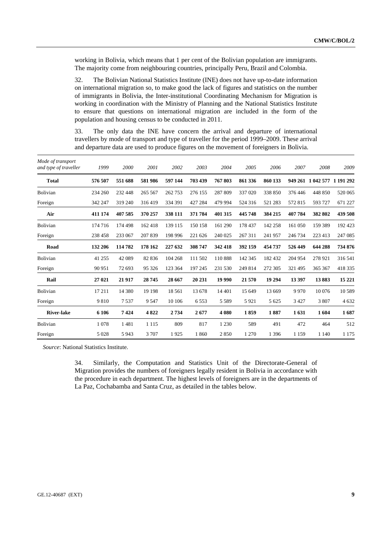working in Bolivia, which means that 1 per cent of the Bolivian population are immigrants. The majority come from neighbouring countries, principally Peru, Brazil and Colombia.

32. The Bolivian National Statistics Institute (INE) does not have up-to-date information on international migration so, to make good the lack of figures and statistics on the number of immigrants in Bolivia, the Inter-institutional Coordinating Mechanism for Migration is working in coordination with the Ministry of Planning and the National Statistics Institute to ensure that questions on international migration are included in the form of the population and housing census to be conducted in 2011.

33. The only data the INE have concern the arrival and departure of international travellers by mode of transport and type of traveller for the period 1999–2009. These arrival and departure data are used to produce figures on the movement of foreigners in Bolivia.

| Mode of transport<br>and type of traveller | 1999    | 2000    | 2001    | 2002    | 2003    | 2004    | 2005    | 2006    | 2007    | 2008                        | 2009    |
|--------------------------------------------|---------|---------|---------|---------|---------|---------|---------|---------|---------|-----------------------------|---------|
| <b>Total</b>                               | 576 507 | 551 688 | 581986  | 597 144 | 703 439 | 767803  | 861 336 | 860 133 |         | 949 261 1 042 577 1 191 292 |         |
| Bolivian                                   | 234 260 | 232 448 | 265 567 | 262 753 | 276 155 | 287 809 | 337 020 | 338 850 | 376 446 | 448 850                     | 520 065 |
| Foreign                                    | 342 247 | 319 240 | 316419  | 334 391 | 427 284 | 479 994 | 524 316 | 521 283 | 572815  | 593 727                     | 671 227 |
| Air                                        | 411 174 | 407 585 | 370 257 | 338 111 | 371 784 | 401 315 | 445 748 | 384 215 | 407 784 | 382 802                     | 439 508 |
| Bolivian                                   | 174 716 | 174 498 | 162418  | 139 115 | 150 158 | 161 290 | 178 437 | 142 258 | 161 050 | 159 389                     | 192 423 |
| Foreign                                    | 238 458 | 233 067 | 207 839 | 198 996 | 221 626 | 240 025 | 267 311 | 241957  | 246 734 | 223 413                     | 247 085 |
| Road                                       | 132 206 | 114 782 | 178 162 | 227 632 | 308 747 | 342 418 | 392 159 | 454 737 | 526 449 | 644 288                     | 734 876 |
| Bolivian                                   | 41 255  | 42 089  | 82 836  | 104 268 | 111 502 | 110888  | 142 345 | 182 432 | 204 954 | 278 921                     | 316 541 |
| Foreign                                    | 90 951  | 72 693  | 95 326  | 123 364 | 197 245 | 231 530 | 249 814 | 272 305 | 321 495 | 365 367                     | 418 335 |
| Rail                                       | 27 021  | 21917   | 28745   | 28 667  | 20 231  | 19 990  | 21 570  | 19 29 4 | 13 397  | 13883                       | 15 221  |
| Bolivian                                   | 17 211  | 14 380  | 19 19 8 | 18 5 61 | 13 678  | 14 4 01 | 15 649  | 13 669  | 9970    | 10 076                      | 10 5 89 |
| Foreign                                    | 9810    | 7537    | 9 5 4 7 | 10 10 6 | 6553    | 5 5 8 9 | 5921    | 5 6 2 5 | 3 4 2 7 | 3 807                       | 4 6 3 2 |
| <b>River-lake</b>                          | 6 10 6  | 7424    | 4822    | 2734    | 2677    | 4 0 8 0 | 1859    | 1887    | 1631    | 1604                        | 1687    |
| Bolivian                                   | 1078    | 1481    | 1 1 1 5 | 809     | 817     | 1 2 3 0 | 589     | 491     | 472     | 464                         | 512     |
| Foreign                                    | 5 0 28  | 5943    | 3707    | 1925    | 1860    | 2850    | 1 270   | 1 3 9 6 | 1 1 5 9 | 1 1 4 0                     | 1 1 7 5 |

*Source*: National Statistics Institute.

34. Similarly, the Computation and Statistics Unit of the Directorate-General of Migration provides the numbers of foreigners legally resident in Bolivia in accordance with the procedure in each department. The highest levels of foreigners are in the departments of La Paz, Cochabamba and Santa Cruz, as detailed in the tables below.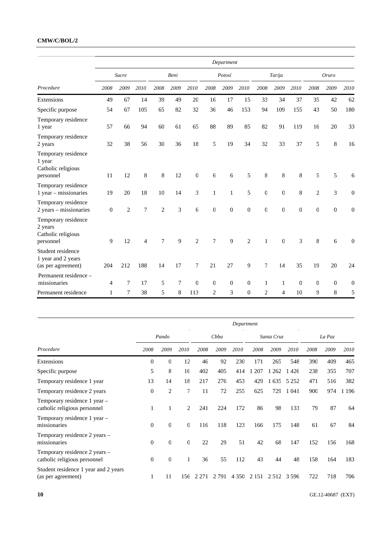# **CMW/C/BOL/2**

|                                                                   |                  |                |                |                |      |                |                  | Department     |                  |                |                |          |                |                |                  |
|-------------------------------------------------------------------|------------------|----------------|----------------|----------------|------|----------------|------------------|----------------|------------------|----------------|----------------|----------|----------------|----------------|------------------|
|                                                                   |                  | Sucre          |                |                | Beni |                |                  | Potosí         |                  |                | Tarija         |          |                | Oruro          |                  |
| Procedure                                                         | 2008             | 2009           | 2010           | 2008           | 2009 | 2010           | 2008             | 2009           | 2010             | 2008           | 2009           | 2010     | 2008           | 2009           | 2010             |
| Extensions                                                        | 49               | 67             | 14             | 39             | 49   | 20             | 16               | 17             | 15               | 33             | 34             | 37       | 35             | 42             | 62               |
| Specific purpose                                                  | 54               | 67             | 105            | 65             | 82   | 32             | 36               | 46             | 153              | 94             | 109            | 155      | 43             | 50             | 180              |
| Temporary residence<br>1 year                                     | 57               | 66             | 94             | 60             | 61   | 65             | 88               | 89             | 85               | 82             | 91             | 119      | 16             | 20             | 33               |
| Temporary residence<br>2 years                                    | 32               | 38             | 56             | 30             | 36   | 18             | 5                | 19             | 34               | 32             | 33             | 37       | 5              | 8              | 16               |
| Temporary residence<br>1 year<br>Catholic religious<br>personnel  | 11               | 12             | 8              | 8              | 12   | $\mathbf{0}$   | 6                | 6              | 5                | 8              | 8              | 8        | 5              | 5              | 6                |
| Temporary residence<br>1 year - missionaries                      | 19               | 20             | 18             | 10             | 14   | 3              | 1                | $\mathbf{1}$   | 5                | $\overline{0}$ | $\mathbf{0}$   | 8        | $\overline{2}$ | 3              | $\mathbf{0}$     |
| Temporary residence<br>2 years – missionaries                     | $\boldsymbol{0}$ | $\overline{2}$ | 7              | $\overline{2}$ | 3    | 6              | $\boldsymbol{0}$ | $\overline{0}$ | $\boldsymbol{0}$ | $\mathbf{0}$   | $\overline{0}$ | $\Omega$ | $\overline{0}$ | $\overline{0}$ | $\boldsymbol{0}$ |
| Temporary residence<br>2 years<br>Catholic religious<br>personnel | 9                | 12             | $\overline{4}$ | 7              | 9    | $\overline{c}$ | 7                | 9              | $\overline{c}$   | 1              | $\overline{0}$ | 3        | 8              | 6              | $\boldsymbol{0}$ |
| Student residence<br>1 year and 2 years<br>(as per agreement)     | 204              | 212            | 188            | 14             | 17   | 7              | 21               | 27             | 9                | 7              | 14             | 35       | 19             | 20             | 24               |
| Permanent residence -<br>missionaries                             | 4                | 7              | 17             | 5              | 7    | $\theta$       | $\mathbf{0}$     | $\overline{0}$ | $\Omega$         | 1              | 1              | $\Omega$ | $\Omega$       | $\mathbf{0}$   | $\theta$         |
| Permanent residence                                               | 1                | 7              | 38             | 5              | 8    | 113            | 2                | 3              | $\mathbf 0$      | 2              | 4              | 10       | 9              | 8              | 5                |

|                                                               | Department   |                |                |       |         |         |            |         |         |        |      |         |
|---------------------------------------------------------------|--------------|----------------|----------------|-------|---------|---------|------------|---------|---------|--------|------|---------|
|                                                               | Pando        |                |                | Cbba  |         |         | Santa Cruz |         |         | La Paz |      |         |
| Procedure                                                     | 2008         | 2009           | 2010           | 2008  | 2009    | 2010    | 2008       | 2009    | 2010    | 2008   | 2009 | 2010    |
| Extensions                                                    | $\mathbf{0}$ | $\mathbf{0}$   | 12             | 46    | 92      | 230     | 171        | 265     | 548     | 390    | 409  | 465     |
| Specific purpose                                              | 5            | 8              | 16             | 402   | 405     | 414     | 207        | 262     | 1426    | 238    | 355  | 707     |
| Temporary residence 1 year                                    | 13           | 14             | 18             | 217   | 276     | 453     | 429        | 635     | 5 2 5 2 | 471    | 516  | 382     |
| Temporary residence 2 years                                   | $\mathbf{0}$ | $\overline{2}$ | 7              | 11    | 72      | 255     | 625        | 729     | 1 0 4 1 | 900    | 974  | 1 1 9 6 |
| Temporary residence 1 year -<br>catholic religious personnel  |              | 1              | $\overline{c}$ | 241   | 224     | 172     | 86         | 98      | 133     | 79     | 87   | 64      |
| Temporary residence 1 year -<br>missionaries                  | $\Omega$     | $\theta$       | $\Omega$       | 116   | 118     | 123     | 166        | 175     | 148     | 61     | 67   | 84      |
| Temporary residence 2 years -<br>missionaries                 | $\Omega$     | $\theta$       | $\Omega$       | 22    | 29      | 51      | 42         | 68      | 147     | 152    | 156  | 168     |
| Temporary residence 2 years –<br>catholic religious personnel | $\mathbf{0}$ | $\mathbf{0}$   | 1              | 36    | 55      | 112     | 43         | 44      | 48      | 158    | 164  | 183     |
| Student residence 1 year and 2 years<br>(as per agreement)    | 1            | 11             | 156            | 2.271 | 2 7 9 1 | 4 3 5 0 | 2 1 5 1    | 2 5 1 2 | 3.596   | 722    | 718  | 706     |

**10** GE.12-40687 (EXT)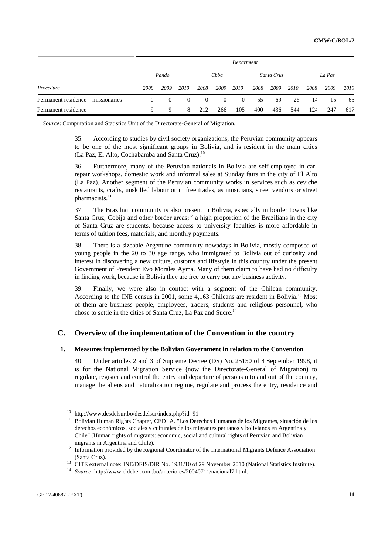|                                    |      |          |          |          |              | Department   |            |      |      |        |      |      |
|------------------------------------|------|----------|----------|----------|--------------|--------------|------------|------|------|--------|------|------|
|                                    |      | Pando    |          |          | Cbba         |              | Santa Cruz |      |      | La Paz |      |      |
| Procedure                          | 2008 | 2009     | 2010     | 2008     | 2009         | 2010         | 2008       | 2009 | 2010 | 2008   | 2009 | 2010 |
| Permanent residence - missionaries | 0    | $\left($ | $\Omega$ | $\Omega$ | $\mathbf{0}$ | $\mathbf{0}$ | 55         | 69   | 26   | 14     | 15   | 65   |
| Permanent residence                | q    | 9        | 8        | 212      | 266          | 105          | 400        | 436  | 544  | 124    | 247  | 617  |

*Source*: Computation and Statistics Unit of the Directorate-General of Migration.

35. According to studies by civil society organizations, the Peruvian community appears to be one of the most significant groups in Bolivia, and is resident in the main cities (La Paz, El Alto, Cochabamba and Santa Cruz).<sup>10</sup>

36. Furthermore, many of the Peruvian nationals in Bolivia are self-employed in carrepair workshops, domestic work and informal sales at Sunday fairs in the city of El Alto (La Paz). Another segment of the Peruvian community works in services such as ceviche restaurants, crafts, unskilled labour or in free trades, as musicians, street vendors or street pharmacists.<sup>11</sup>

37. The Brazilian community is also present in Bolivia, especially in border towns like Santa Cruz, Cobija and other border areas;<sup>12</sup> a high proportion of the Brazilians in the city of Santa Cruz are students, because access to university faculties is more affordable in terms of tuition fees, materials, and monthly payments.

38. There is a sizeable Argentine community nowadays in Bolivia, mostly composed of young people in the 20 to 30 age range, who immigrated to Bolivia out of curiosity and interest in discovering a new culture, customs and lifestyle in this country under the present Government of President Evo Morales Ayma. Many of them claim to have had no difficulty in finding work, because in Bolivia they are free to carry out any business activity.

39. Finally, we were also in contact with a segment of the Chilean community. According to the INE census in 2001, some 4,163 Chileans are resident in Bolivia.13 Most of them are business people, employees, traders, students and religious personnel, who chose to settle in the cities of Santa Cruz, La Paz and Sucre.14

# **C. Overview of the implementation of the Convention in the country**

# **1. Measures implemented by the Bolivian Government in relation to the Convention**

40. Under articles 2 and 3 of Supreme Decree (DS) No. 25150 of 4 September 1998, it is for the National Migration Service (now the Directorate-General of Migration) to regulate, register and control the entry and departure of persons into and out of the country, manage the aliens and naturalization regime, regulate and process the entry, residence and

<sup>&</sup>lt;sup>10</sup> http://www.desdelsur.bo/desdelsur/index.php?id=91<br><sup>11</sup> Bolivian Human Rights Chapter, CEDLA. "Los Derechos Humanos de los Migrantes, situación de los derechos económicos, sociales y culturales de los migrantes peruanos y bolivianos en Argentina y Chile" (Human rights of migrants: economic, social and cultural rights of Peruvian and Bolivian

migrants in Argentina and Chile).<br><sup>12</sup> Information provided by the Regional Coordinator of the International Migrants Defence Association

<sup>(</sup>Santa Cruz). 13 CITE external note: INE/DEIS/DIR No. 1931/10 of 29 November 2010 (National Statistics Institute). 14 *Source*: http://www.eldeber.com.bo/anteriores/20040711/nacional7.html.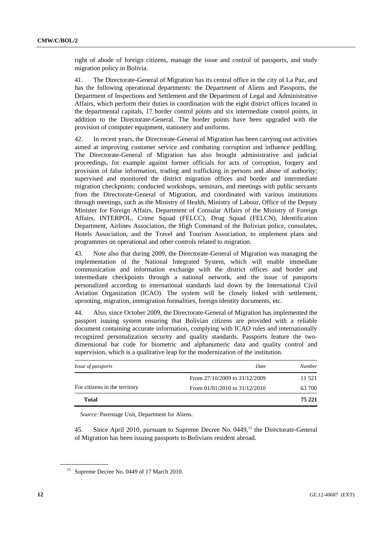right of abode of foreign citizens, manage the issue and control of passports, and study migration policy in Bolivia.

41. The Directorate-General of Migration has its central office in the city of La Paz, and has the following operational departments: the Department of Aliens and Passports, the Department of Inspections and Settlement and the Department of Legal and Administrative Affairs, which perform their duties in coordination with the eight district offices located in the departmental capitals, 17 border control points and six intermediate control points, in addition to the Directorate-General. The border points have been upgraded with the provision of computer equipment, stationery and uniforms.

42. In recent years, the Directorate-General of Migration has been carrying out activities aimed at improving customer service and combating corruption and influence peddling. The Directorate-General of Migration has also brought administrative and judicial proceedings, for example against former officials for acts of corruption, forgery and provision of false information, trading and trafficking in persons and abuse of authority; supervised and monitored the district migration offices and border and intermediate migration checkpoints; conducted workshops, seminars, and meetings with public servants from the Directorate-General of Migration, and coordinated with various institutions through meetings, such as the Ministry of Health, Ministry of Labour, Office of the Deputy Minister for Foreign Affairs, Department of Consular Affairs of the Ministry of Foreign Affairs, INTERPOL, Crime Squad (FELCC), Drug Squad (FELCN), Identification Department, Airlines Association, the High Command of the Bolivian police, consulates, Hotels Association, and the Travel and Tourism Association, to implement plans and programmes on operational and other controls related to migration.

43. Note also that during 2009, the Directorate-General of Migration was managing the implementation of the National Integrated System, which will enable immediate communication and information exchange with the district offices and border and intermediate checkpoints through a national network, and the issue of passports personalized according to international standards laid down by the International Civil Aviation Organization (ICAO). The system will be closely linked with settlement, uprooting, migration, immigration formalities, foreign identity documents, etc.

44. Also, since October 2009, the Directorate-General of Migration has implemented the passport issuing system ensuring that Bolivian citizens are provided with a reliable document containing accurate information, complying with ICAO rules and internationally recognized personalization security and quality standards. Passports feature the twodimensional bar code for biometric and alphanumeric data and quality control and supervision, which is a qualitative leap for the modernization of the institution.

| Date                              | <b>Number</b> |
|-----------------------------------|---------------|
| From 27/10/2009 to 31/12/2009     | 11.521        |
| From $01/01/2010$ to $31/12/2010$ | 63 700        |
|                                   | 75 221        |
|                                   |               |

*Source*: Parentage Unit, Department for Aliens.

45. Since April 2010, pursuant to Supreme Decree No. 0449,<sup>15</sup> the Directorate-General of Migration has been issuing passports to Bolivians resident abroad.

<sup>&</sup>lt;sup>15</sup> Supreme Decree No. 0449 of 17 March 2010.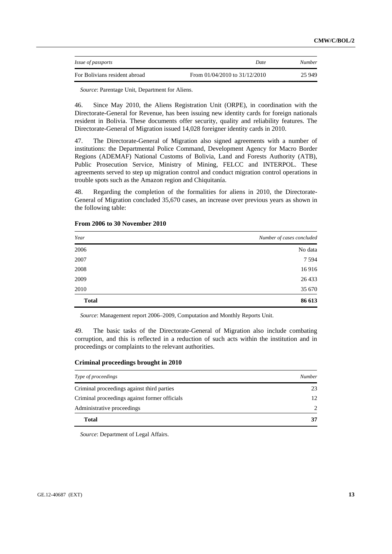| <i>Issue of passports</i>     | <i>Date</i>                       | <b>Number</b> |
|-------------------------------|-----------------------------------|---------------|
| For Bolivians resident abroad | From $01/04/2010$ to $31/12/2010$ | 25 949        |

*Source*: Parentage Unit, Department for Aliens.

46. Since May 2010, the Aliens Registration Unit (ORPE), in coordination with the Directorate-General for Revenue, has been issuing new identity cards for foreign nationals resident in Bolivia. These documents offer security, quality and reliability features. The Directorate-General of Migration issued 14,028 foreigner identity cards in 2010.

47. The Directorate-General of Migration also signed agreements with a number of institutions: the Departmental Police Command, Development Agency for Macro Border Regions (ADEMAF) National Customs of Bolivia, Land and Forests Authority (ATB), Public Prosecution Service, Ministry of Mining, FELCC and INTERPOL. These agreements served to step up migration control and conduct migration control operations in trouble spots such as the Amazon region and Chiquitanía.

48. Regarding the completion of the formalities for aliens in 2010, the Directorate-General of Migration concluded 35,670 cases, an increase over previous years as shown in the following table:

| Year         | Number of cases concluded |
|--------------|---------------------------|
| 2006         | No data                   |
| 2007         | 7 5 9 4                   |
| 2008         | 16916                     |
| 2009         | 26 433                    |
| 2010         | 35 670                    |
| <b>Total</b> | 86 613                    |

#### **From 2006 to 30 November 2010**

*Source*: Management report 2006–2009, Computation and Monthly Reports Unit.

49. The basic tasks of the Directorate-General of Migration also include combating corruption, and this is reflected in a reduction of such acts within the institution and in proceedings or complaints to the relevant authorities.

#### **Criminal proceedings brought in 2010**

| Type of proceedings                           | <b>Number</b> |
|-----------------------------------------------|---------------|
| Criminal proceedings against third parties    | 23            |
| Criminal proceedings against former officials | 12            |
| Administrative proceedings                    | 2             |
| <b>Total</b>                                  | 37            |

*Source*: Department of Legal Affairs.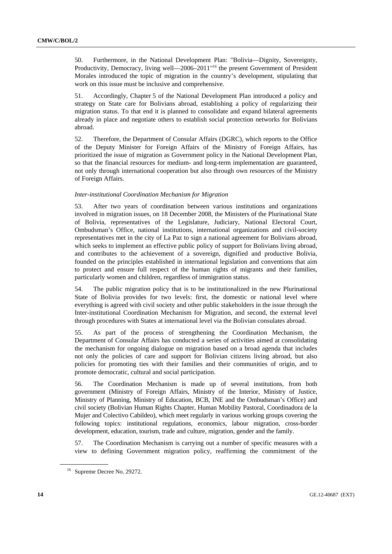50. Furthermore, in the National Development Plan: "Bolivia—Dignity, Sovereignty, Productivity, Democracy, living well—2006–2011<sup>"16</sup> the present Government of President Morales introduced the topic of migration in the country's development, stipulating that work on this issue must be inclusive and comprehensive.

51. Accordingly, Chapter 5 of the National Development Plan introduced a policy and strategy on State care for Bolivians abroad, establishing a policy of regularizing their migration status. To that end it is planned to consolidate and expand bilateral agreements already in place and negotiate others to establish social protection networks for Bolivians abroad.

52. Therefore, the Department of Consular Affairs (DGRC), which reports to the Office of the Deputy Minister for Foreign Affairs of the Ministry of Foreign Affairs, has prioritized the issue of migration as Government policy in the National Development Plan, so that the financial resources for medium- and long-term implementation are guaranteed, not only through international cooperation but also through own resources of the Ministry of Foreign Affairs.

### *Inter-institutional Coordination Mechanism for Migration*

53. After two years of coordination between various institutions and organizations involved in migration issues, on 18 December 2008, the Ministers of the Plurinational State of Bolivia, representatives of the Legislature, Judiciary, National Electoral Court, Ombudsman's Office, national institutions, international organizations and civil-society representatives met in the city of La Paz to sign a national agreement for Bolivians abroad, which seeks to implement an effective public policy of support for Bolivians living abroad, and contributes to the achievement of a sovereign, dignified and productive Bolivia, founded on the principles established in international legislation and conventions that aim to protect and ensure full respect of the human rights of migrants and their families, particularly women and children, regardless of immigration status.

54. The public migration policy that is to be institutionalized in the new Plurinational State of Bolivia provides for two levels: first, the domestic or national level where everything is agreed with civil society and other public stakeholders in the issue through the Inter-institutional Coordination Mechanism for Migration, and second, the external level through procedures with States at international level via the Bolivian consulates abroad.

55. As part of the process of strengthening the Coordination Mechanism, the Department of Consular Affairs has conducted a series of activities aimed at consolidating the mechanism for ongoing dialogue on migration based on a broad agenda that includes not only the policies of care and support for Bolivian citizens living abroad, but also policies for promoting ties with their families and their communities of origin, and to promote democratic, cultural and social participation.

56. The Coordination Mechanism is made up of several institutions, from both government (Ministry of Foreign Affairs, Ministry of the Interior, Ministry of Justice, Ministry of Planning, Ministry of Education, BCB, INE and the Ombudsman's Office) and civil society (Bolivian Human Rights Chapter, Human Mobility Pastoral, Coordinadora de la Mujer and Colectivo Cabildeo), which meet regularly in various working groups covering the following topics: institutional regulations, economics, labour migration, cross-border development, education, tourism, trade and culture, migration, gender and the family.

57. The Coordination Mechanism is carrying out a number of specific measures with a view to defining Government migration policy, reaffirming the commitment of the

<sup>16</sup> Supreme Decree No. 29272.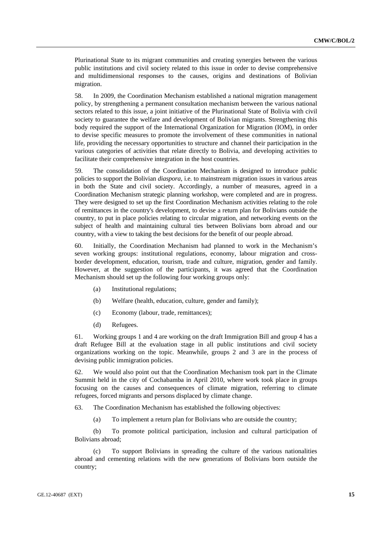Plurinational State to its migrant communities and creating synergies between the various public institutions and civil society related to this issue in order to devise comprehensive and multidimensional responses to the causes, origins and destinations of Bolivian migration.

58. In 2009, the Coordination Mechanism established a national migration management policy, by strengthening a permanent consultation mechanism between the various national sectors related to this issue, a joint initiative of the Plurinational State of Bolivia with civil society to guarantee the welfare and development of Bolivian migrants. Strengthening this body required the support of the International Organization for Migration (IOM), in order to devise specific measures to promote the involvement of these communities in national life, providing the necessary opportunities to structure and channel their participation in the various categories of activities that relate directly to Bolivia, and developing activities to facilitate their comprehensive integration in the host countries.

59. The consolidation of the Coordination Mechanism is designed to introduce public policies to support the Bolivian *diaspora*, i.e. to mainstream migration issues in various areas in both the State and civil society. Accordingly, a number of measures, agreed in a Coordination Mechanism strategic planning workshop, were completed and are in progress. They were designed to set up the first Coordination Mechanism activities relating to the role of remittances in the country's development, to devise a return plan for Bolivians outside the country, to put in place policies relating to circular migration, and networking events on the subject of health and maintaining cultural ties between Bolivians born abroad and our country, with a view to taking the best decisions for the benefit of our people abroad.

60. Initially, the Coordination Mechanism had planned to work in the Mechanism's seven working groups: institutional regulations, economy, labour migration and crossborder development, education, tourism, trade and culture, migration, gender and family. However, at the suggestion of the participants, it was agreed that the Coordination Mechanism should set up the following four working groups only:

- (a) Institutional regulations;
- (b) Welfare (health, education, culture, gender and family);
- (c) Economy (labour, trade, remittances);
- (d) Refugees.

61. Working groups 1 and 4 are working on the draft Immigration Bill and group 4 has a draft Refugee Bill at the evaluation stage in all public institutions and civil society organizations working on the topic. Meanwhile, groups 2 and 3 are in the process of devising public immigration policies.

62. We would also point out that the Coordination Mechanism took part in the Climate Summit held in the city of Cochabamba in April 2010, where work took place in groups focusing on the causes and consequences of climate migration, referring to climate refugees, forced migrants and persons displaced by climate change.

63. The Coordination Mechanism has established the following objectives:

(a) To implement a return plan for Bolivians who are outside the country;

 (b) To promote political participation, inclusion and cultural participation of Bolivians abroad;

 (c) To support Bolivians in spreading the culture of the various nationalities abroad and cementing relations with the new generations of Bolivians born outside the country;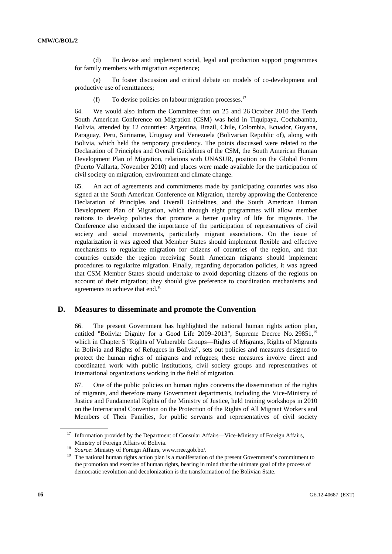(d) To devise and implement social, legal and production support programmes for family members with migration experience;

 (e) To foster discussion and critical debate on models of co-development and productive use of remittances;

(f) To devise policies on labour migration processes.<sup>17</sup>

64. We would also inform the Committee that on 25 and 26 October 2010 the Tenth South American Conference on Migration (CSM) was held in Tiquipaya, Cochabamba, Bolivia, attended by 12 countries: Argentina, Brazil, Chile, Colombia, Ecuador, Guyana, Paraguay, Peru, Suriname, Uruguay and Venezuela (Bolivarian Republic of), along with Bolivia, which held the temporary presidency. The points discussed were related to the Declaration of Principles and Overall Guidelines of the CSM, the South American Human Development Plan of Migration, relations with UNASUR, position on the Global Forum (Puerto Vallarta, November 2010) and places were made available for the participation of civil society on migration, environment and climate change.

65. An act of agreements and commitments made by participating countries was also signed at the South American Conference on Migration, thereby approving the Conference Declaration of Principles and Overall Guidelines, and the South American Human Development Plan of Migration, which through eight programmes will allow member nations to develop policies that promote a better quality of life for migrants. The Conference also endorsed the importance of the participation of representatives of civil society and social movements, particularly migrant associations. On the issue of regularization it was agreed that Member States should implement flexible and effective mechanisms to regularize migration for citizens of countries of the region, and that countries outside the region receiving South American migrants should implement procedures to regularize migration. Finally, regarding deportation policies, it was agreed that CSM Member States should undertake to avoid deporting citizens of the regions on account of their migration; they should give preference to coordination mechanisms and agreements to achieve that end.<sup>18</sup>

# **D. Measures to disseminate and promote the Convention**

66. The present Government has highlighted the national human rights action plan, entitled "Bolivia: Dignity for a Good Life 2009–2013", Supreme Decree No. 29851,<sup>19</sup> which in Chapter 5 "Rights of Vulnerable Groups—Rights of Migrants, Rights of Migrants in Bolivia and Rights of Refugees in Bolivia", sets out policies and measures designed to protect the human rights of migrants and refugees; these measures involve direct and coordinated work with public institutions, civil society groups and representatives of international organizations working in the field of migration.

67. One of the public policies on human rights concerns the dissemination of the rights of migrants, and therefore many Government departments, including the Vice-Ministry of Justice and Fundamental Rights of the Ministry of Justice, held training workshops in 2010 on the International Convention on the Protection of the Rights of All Migrant Workers and Members of Their Families, for public servants and representatives of civil society

<sup>&</sup>lt;sup>17</sup> Information provided by the Department of Consular Affairs—Vice-Ministry of Foreign Affairs,

Ministry of Foreign Affairs of Bolivia.<br><sup>18</sup> *Source*: Ministry of Foreign Affairs, www.rree.gob.bo/.<br><sup>19</sup> The national human rights action plan is a manifestation of the present Government's commitment to the promotion and exercise of human rights, bearing in mind that the ultimate goal of the process of democratic revolution and decolonization is the transformation of the Bolivian State.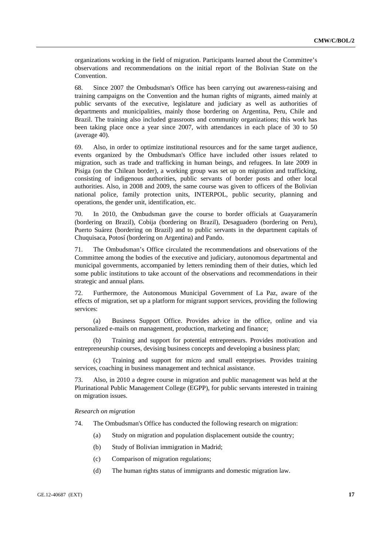organizations working in the field of migration. Participants learned about the Committee's observations and recommendations on the initial report of the Bolivian State on the Convention.

68. Since 2007 the Ombudsman's Office has been carrying out awareness-raising and training campaigns on the Convention and the human rights of migrants, aimed mainly at public servants of the executive, legislature and judiciary as well as authorities of departments and municipalities, mainly those bordering on Argentina, Peru, Chile and Brazil. The training also included grassroots and community organizations; this work has been taking place once a year since 2007, with attendances in each place of 30 to 50 (average 40).

69. Also, in order to optimize institutional resources and for the same target audience, events organized by the Ombudsman's Office have included other issues related to migration, such as trade and trafficking in human beings, and refugees. In late 2009 in Pisiga (on the Chilean border), a working group was set up on migration and trafficking, consisting of indigenous authorities, public servants of border posts and other local authorities. Also, in 2008 and 2009, the same course was given to officers of the Bolivian national police, family protection units, INTERPOL, public security, planning and operations, the gender unit, identification, etc.

70. In 2010, the Ombudsman gave the course to border officials at Guayaramerín (bordering on Brazil), Cobija (bordering on Brazil), Desaguadero (bordering on Peru), Puerto Suárez (bordering on Brazil) and to public servants in the department capitals of Chuquisaca, Potosí (bordering on Argentina) and Pando.

71. The Ombudsman's Office circulated the recommendations and observations of the Committee among the bodies of the executive and judiciary, autonomous departmental and municipal governments, accompanied by letters reminding them of their duties, which led some public institutions to take account of the observations and recommendations in their strategic and annual plans.

72. Furthermore, the Autonomous Municipal Government of La Paz, aware of the effects of migration, set up a platform for migrant support services, providing the following services:

 (a) Business Support Office. Provides advice in the office, online and via personalized e-mails on management, production, marketing and finance;

 (b) Training and support for potential entrepreneurs. Provides motivation and entrepreneurship courses, devising business concepts and developing a business plan;

 (c) Training and support for micro and small enterprises. Provides training services, coaching in business management and technical assistance.

73. Also, in 2010 a degree course in migration and public management was held at the Plurinational Public Management College (EGPP), for public servants interested in training on migration issues.

#### *Research on migration*

74. The Ombudsman's Office has conducted the following research on migration:

- (a) Study on migration and population displacement outside the country;
- (b) Study of Bolivian immigration in Madrid;
- (c) Comparison of migration regulations;
- (d) The human rights status of immigrants and domestic migration law.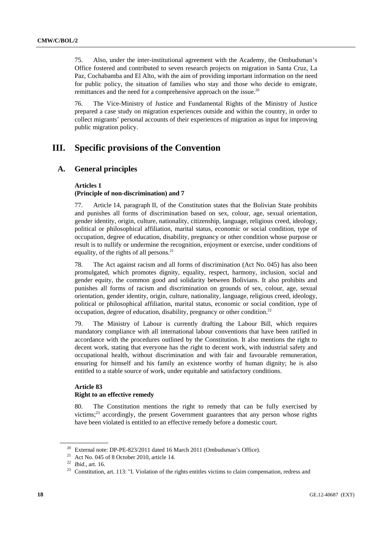75. Also, under the inter-institutional agreement with the Academy, the Ombudsman's Office fostered and contributed to seven research projects on migration in Santa Cruz, La Paz, Cochabamba and El Alto, with the aim of providing important information on the need for public policy, the situation of families who stay and those who decide to emigrate, remittances and the need for a comprehensive approach on the issue.<sup>20</sup>

76. The Vice-Ministry of Justice and Fundamental Rights of the Ministry of Justice prepared a case study on migration experiences outside and within the country, in order to collect migrants' personal accounts of their experiences of migration as input for improving public migration policy.

# **III. Specific provisions of the Convention**

# **A. General principles**

# **Articles 1 (Principle of non-discrimination) and 7**

77. Article 14, paragraph II, of the Constitution states that the Bolivian State prohibits and punishes all forms of discrimination based on sex, colour, age, sexual orientation, gender identity, origin, culture, nationality, citizenship, language, religious creed, ideology, political or philosophical affiliation, marital status, economic or social condition, type of occupation, degree of education, disability, pregnancy or other condition whose purpose or result is to nullify or undermine the recognition, enjoyment or exercise, under conditions of equality, of the rights of all persons. $21$ 

78. The Act against racism and all forms of discrimination (Act No. 045) has also been promulgated, which promotes dignity, equality, respect, harmony, inclusion, social and gender equity, the common good and solidarity between Bolivians. It also prohibits and punishes all forms of racism and discrimination on grounds of sex, colour, age, sexual orientation, gender identity, origin, culture, nationality, language, religious creed, ideology, political or philosophical affiliation, marital status, economic or social condition, type of occupation, degree of education, disability, pregnancy or other condition.<sup>22</sup>

79. The Ministry of Labour is currently drafting the Labour Bill, which requires mandatory compliance with all international labour conventions that have been ratified in accordance with the procedures outlined by the Constitution. It also mentions the right to decent work, stating that everyone has the right to decent work, with industrial safety and occupational health, without discrimination and with fair and favourable remuneration, ensuring for himself and his family an existence worthy of human dignity; he is also entitled to a stable source of work, under equitable and satisfactory conditions.

# **Article 83 Right to an effective remedy**

80. The Constitution mentions the right to remedy that can be fully exercised by victims; $2<sup>3</sup>$  accordingly, the present Government guarantees that any person whose rights have been violated is entitled to an effective remedy before a domestic court.

<sup>&</sup>lt;sup>20</sup> External note: DP-PE-823/2011 dated 16 March 2011 (Ombudsman's Office).<br><sup>21</sup> Act No. 045 of 8 October 2010, article 14.<br><sup>22</sup> *Ibid..* art. 16.

<sup>&</sup>lt;sup>23</sup> Constitution, art. 113: "I. Violation of the rights entitles victims to claim compensation, redress and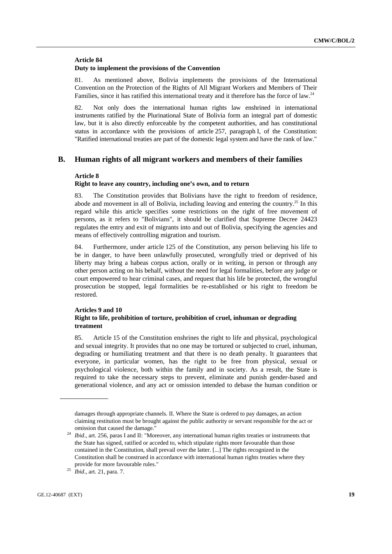# **Article 84**

### **Duty to implement the provisions of the Convention**

81. As mentioned above, Bolivia implements the provisions of the International Convention on the Protection of the Rights of All Migrant Workers and Members of Their Families, since it has ratified this international treaty and it therefore has the force of law.<sup>24</sup>

82. Not only does the international human rights law enshrined in international instruments ratified by the Plurinational State of Bolivia form an integral part of domestic law, but it is also directly enforceable by the competent authorities, and has constitutional status in accordance with the provisions of article 257, paragraph I, of the Constitution: "Ratified international treaties are part of the domestic legal system and have the rank of law."

# **B. Human rights of all migrant workers and members of their families**

# **Article 8**

# **Right to leave any country, including one's own, and to return**

83. The Constitution provides that Bolivians have the right to freedom of residence, abode and movement in all of Bolivia, including leaving and entering the country.<sup>25</sup> In this regard while this article specifies some restrictions on the right of free movement of persons, as it refers to "Bolivians", it should be clarified that Supreme Decree 24423 regulates the entry and exit of migrants into and out of Bolivia, specifying the agencies and means of effectively controlling migration and tourism.

84. Furthermore, under article 125 of the Constitution, any person believing his life to be in danger, to have been unlawfully prosecuted, wrongfully tried or deprived of his liberty may bring a habeas corpus action, orally or in writing, in person or through any other person acting on his behalf, without the need for legal formalities, before any judge or court empowered to hear criminal cases, and request that his life be protected, the wrongful prosecution be stopped, legal formalities be re-established or his right to freedom be restored.

### **Articles 9 and 10 Right to life, prohibition of torture, prohibition of cruel, inhuman or degrading treatment**

85. Article 15 of the Constitution enshrines the right to life and physical, psychological and sexual integrity. It provides that no one may be tortured or subjected to cruel, inhuman, degrading or humiliating treatment and that there is no death penalty. It guarantees that everyone, in particular women, has the right to be free from physical, sexual or psychological violence, both within the family and in society. As a result, the State is required to take the necessary steps to prevent, eliminate and punish gender-based and generational violence, and any act or omission intended to debase the human condition or

damages through appropriate channels. II. Where the State is ordered to pay damages, an action claiming restitution must be brought against the public authority or servant responsible for the act or

omission that caused the damage." 24 *Ibid*., art. 256, paras I and II: "Moreover, any international human rights treaties or instruments that the State has signed, ratified or acceded to, which stipulate rights more favourable than those contained in the Constitution, shall prevail over the latter. [...] The rights recognized in the Constitution shall be construed in accordance with international human rights treaties where they provide for more favourable rules." 25 *Ibid*., art. 21, para. 7.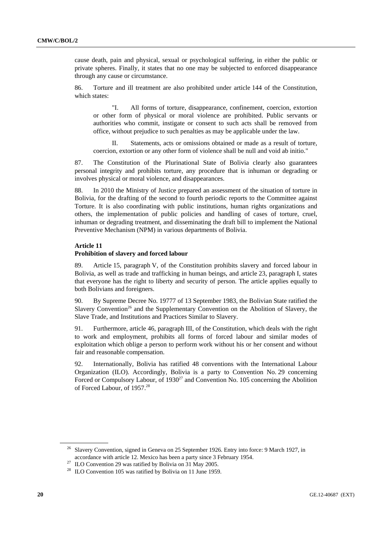cause death, pain and physical, sexual or psychological suffering, in either the public or private spheres. Finally, it states that no one may be subjected to enforced disappearance through any cause or circumstance.

86. Torture and ill treatment are also prohibited under article 144 of the Constitution, which states:

"I. All forms of torture, disappearance, confinement, coercion, extortion or other form of physical or moral violence are prohibited. Public servants or authorities who commit, instigate or consent to such acts shall be removed from office, without prejudice to such penalties as may be applicable under the law.

II. Statements, acts or omissions obtained or made as a result of torture, coercion, extortion or any other form of violence shall be null and void ab initio."

87. The Constitution of the Plurinational State of Bolivia clearly also guarantees personal integrity and prohibits torture, any procedure that is inhuman or degrading or involves physical or moral violence, and disappearances.

88. In 2010 the Ministry of Justice prepared an assessment of the situation of torture in Bolivia, for the drafting of the second to fourth periodic reports to the Committee against Torture. It is also coordinating with public institutions, human rights organizations and others, the implementation of public policies and handling of cases of torture, cruel, inhuman or degrading treatment, and disseminating the draft bill to implement the National Preventive Mechanism (NPM) in various departments of Bolivia.

### **Article 11**

#### **Prohibition of slavery and forced labour**

89. Article 15, paragraph V, of the Constitution prohibits slavery and forced labour in Bolivia, as well as trade and trafficking in human beings, and article 23, paragraph I, states that everyone has the right to liberty and security of person. The article applies equally to both Bolivians and foreigners.

90. By Supreme Decree No. 19777 of 13 September 1983, the Bolivian State ratified the Slavery Convention<sup>26</sup> and the Supplementary Convention on the Abolition of Slavery, the Slave Trade, and Institutions and Practices Similar to Slavery.

91. Furthermore, article 46, paragraph III, of the Constitution, which deals with the right to work and employment, prohibits all forms of forced labour and similar modes of exploitation which oblige a person to perform work without his or her consent and without fair and reasonable compensation.

92. Internationally, Bolivia has ratified 48 conventions with the International Labour Organization (ILO). Accordingly, Bolivia is a party to Convention No. 29 concerning Forced or Compulsory Labour, of 1930<sup>27</sup> and Convention No. 105 concerning the Abolition of Forced Labour, of 1957.28

<sup>&</sup>lt;sup>26</sup> Slavery Convention, signed in Geneva on 25 September 1926. Entry into force: 9 March 1927, in accordance with article 12. Mexico has been a party since 3 February 1954. 27 ILO Convention 29 was ratified by Bolivia on 31 May 2005.

<sup>&</sup>lt;sup>28</sup> ILO Convention 105 was ratified by Bolivia on 11 June 1959.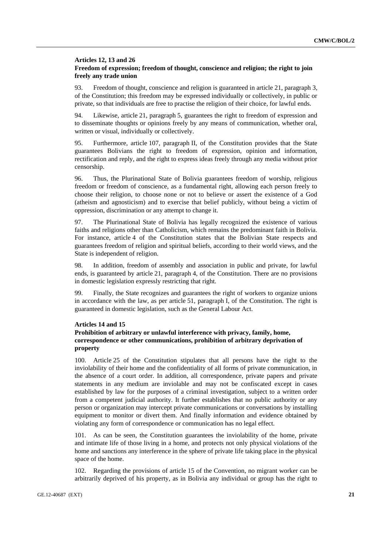# **Articles 12, 13 and 26 Freedom of expression; freedom of thought, conscience and religion; the right to join freely any trade union**

93. Freedom of thought, conscience and religion is guaranteed in article 21, paragraph 3, of the Constitution; this freedom may be expressed individually or collectively, in public or private, so that individuals are free to practise the religion of their choice, for lawful ends.

94. Likewise, article 21, paragraph 5, guarantees the right to freedom of expression and to disseminate thoughts or opinions freely by any means of communication, whether oral, written or visual, individually or collectively.

95. Furthermore, article 107, paragraph II, of the Constitution provides that the State guarantees Bolivians the right to freedom of expression, opinion and information, rectification and reply, and the right to express ideas freely through any media without prior censorship.

96. Thus, the Plurinational State of Bolivia guarantees freedom of worship, religious freedom or freedom of conscience, as a fundamental right, allowing each person freely to choose their religion, to choose none or not to believe or assert the existence of a God (atheism and agnosticism) and to exercise that belief publicly, without being a victim of oppression, discrimination or any attempt to change it.

97. The Plurinational State of Bolivia has legally recognized the existence of various faiths and religions other than Catholicism, which remains the predominant faith in Bolivia. For instance, article 4 of the Constitution states that the Bolivian State respects and guarantees freedom of religion and spiritual beliefs, according to their world views, and the State is independent of religion.

98. In addition, freedom of assembly and association in public and private, for lawful ends, is guaranteed by article 21, paragraph 4, of the Constitution. There are no provisions in domestic legislation expressly restricting that right.

99. Finally, the State recognizes and guarantees the right of workers to organize unions in accordance with the law, as per article 51, paragraph I, of the Constitution. The right is guaranteed in domestic legislation, such as the General Labour Act.

### **Articles 14 and 15**

# **Prohibition of arbitrary or unlawful interference with privacy, family, home, correspondence or other communications, prohibition of arbitrary deprivation of property**

100. Article 25 of the Constitution stipulates that all persons have the right to the inviolability of their home and the confidentiality of all forms of private communication, in the absence of a court order. In addition, all correspondence, private papers and private statements in any medium are inviolable and may not be confiscated except in cases established by law for the purposes of a criminal investigation, subject to a written order from a competent judicial authority. It further establishes that no public authority or any person or organization may intercept private communications or conversations by installing equipment to monitor or divert them. And finally information and evidence obtained by violating any form of correspondence or communication has no legal effect.

101. As can be seen, the Constitution guarantees the inviolability of the home, private and intimate life of those living in a home, and protects not only physical violations of the home and sanctions any interference in the sphere of private life taking place in the physical space of the home.

102. Regarding the provisions of article 15 of the Convention, no migrant worker can be arbitrarily deprived of his property, as in Bolivia any individual or group has the right to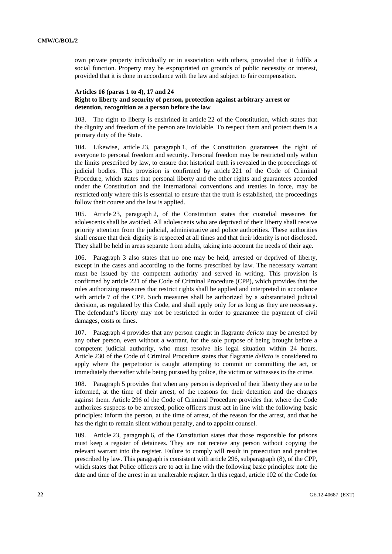own private property individually or in association with others, provided that it fulfils a social function. Property may be expropriated on grounds of public necessity or interest, provided that it is done in accordance with the law and subject to fair compensation.

# **Articles 16 (paras 1 to 4), 17 and 24 Right to liberty and security of person, protection against arbitrary arrest or detention, recognition as a person before the law**

103. The right to liberty is enshrined in article 22 of the Constitution, which states that the dignity and freedom of the person are inviolable. To respect them and protect them is a primary duty of the State.

104. Likewise, article 23, paragraph 1, of the Constitution guarantees the right of everyone to personal freedom and security. Personal freedom may be restricted only within the limits prescribed by law, to ensure that historical truth is revealed in the proceedings of judicial bodies. This provision is confirmed by article 221 of the Code of Criminal Procedure, which states that personal liberty and the other rights and guarantees accorded under the Constitution and the international conventions and treaties in force, may be restricted only where this is essential to ensure that the truth is established, the proceedings follow their course and the law is applied.

105. Article 23, paragraph 2, of the Constitution states that custodial measures for adolescents shall be avoided. All adolescents who are deprived of their liberty shall receive priority attention from the judicial, administrative and police authorities. These authorities shall ensure that their dignity is respected at all times and that their identity is not disclosed. They shall be held in areas separate from adults, taking into account the needs of their age.

106. Paragraph 3 also states that no one may be held, arrested or deprived of liberty, except in the cases and according to the forms prescribed by law. The necessary warrant must be issued by the competent authority and served in writing. This provision is confirmed by article 221 of the Code of Criminal Procedure (CPP), which provides that the rules authorizing measures that restrict rights shall be applied and interpreted in accordance with article 7 of the CPP. Such measures shall be authorized by a substantiated judicial decision, as regulated by this Code, and shall apply only for as long as they are necessary. The defendant's liberty may not be restricted in order to guarantee the payment of civil damages, costs or fines.

107. Paragraph 4 provides that any person caught in flagrante *delicto* may be arrested by any other person, even without a warrant, for the sole purpose of being brought before a competent judicial authority, who must resolve his legal situation within 24 hours. Article 230 of the Code of Criminal Procedure states that flagrante *delicto* is considered to apply where the perpetrator is caught attempting to commit or committing the act, or immediately thereafter while being pursued by police, the victim or witnesses to the crime.

108. Paragraph 5 provides that when any person is deprived of their liberty they are to be informed, at the time of their arrest, of the reasons for their detention and the charges against them. Article 296 of the Code of Criminal Procedure provides that where the Code authorizes suspects to be arrested, police officers must act in line with the following basic principles: inform the person, at the time of arrest, of the reason for the arrest, and that he has the right to remain silent without penalty, and to appoint counsel.

109. Article 23, paragraph 6, of the Constitution states that those responsible for prisons must keep a register of detainees. They are not receive any person without copying the relevant warrant into the register. Failure to comply will result in prosecution and penalties prescribed by law. This paragraph is consistent with article 296, subparagraph (8), of the CPP, which states that Police officers are to act in line with the following basic principles: note the date and time of the arrest in an unalterable register. In this regard, article 102 of the Code for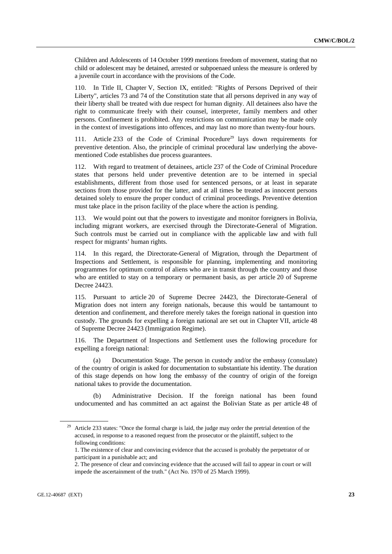Children and Adolescents of 14 October 1999 mentions freedom of movement, stating that no child or adolescent may be detained, arrested or subpoenaed unless the measure is ordered by a juvenile court in accordance with the provisions of the Code.

110. In Title II, Chapter V, Section IX, entitled: "Rights of Persons Deprived of their Liberty", articles 73 and 74 of the Constitution state that all persons deprived in any way of their liberty shall be treated with due respect for human dignity. All detainees also have the right to communicate freely with their counsel, interpreter, family members and other persons. Confinement is prohibited. Any restrictions on communication may be made only in the context of investigations into offences, and may last no more than twenty-four hours.

111. Article 233 of the Code of Criminal Procedure<sup>29</sup> lays down requirements for preventive detention. Also, the principle of criminal procedural law underlying the abovementioned Code establishes due process guarantees.

112. With regard to treatment of detainees, article 237 of the Code of Criminal Procedure states that persons held under preventive detention are to be interned in special establishments, different from those used for sentenced persons, or at least in separate sections from those provided for the latter, and at all times be treated as innocent persons detained solely to ensure the proper conduct of criminal proceedings. Preventive detention must take place in the prison facility of the place where the action is pending.

113. We would point out that the powers to investigate and monitor foreigners in Bolivia, including migrant workers, are exercised through the Directorate-General of Migration. Such controls must be carried out in compliance with the applicable law and with full respect for migrants' human rights.

114. In this regard, the Directorate-General of Migration, through the Department of Inspections and Settlement, is responsible for planning, implementing and monitoring programmes for optimum control of aliens who are in transit through the country and those who are entitled to stay on a temporary or permanent basis, as per article 20 of Supreme Decree 24423.

115. Pursuant to article 20 of Supreme Decree 24423, the Directorate-General of Migration does not intern any foreign nationals, because this would be tantamount to detention and confinement, and therefore merely takes the foreign national in question into custody. The grounds for expelling a foreign national are set out in Chapter VII, article 48 of Supreme Decree 24423 (Immigration Regime).

116. The Department of Inspections and Settlement uses the following procedure for expelling a foreign national:

 (a) Documentation Stage. The person in custody and/or the embassy (consulate) of the country of origin is asked for documentation to substantiate his identity. The duration of this stage depends on how long the embassy of the country of origin of the foreign national takes to provide the documentation.

 (b) Administrative Decision. If the foreign national has been found undocumented and has committed an act against the Bolivian State as per article 48 of

<sup>&</sup>lt;sup>29</sup> Article 233 states: "Once the formal charge is laid, the judge may order the pretrial detention of the accused, in response to a reasoned request from the prosecutor or the plaintiff, subject to the following conditions:

 <sup>1.</sup> The existence of clear and convincing evidence that the accused is probably the perpetrator of or participant in a punishable act; and

 <sup>2.</sup> The presence of clear and convincing evidence that the accused will fail to appear in court or will impede the ascertainment of the truth." (Act No. 1970 of 25 March 1999).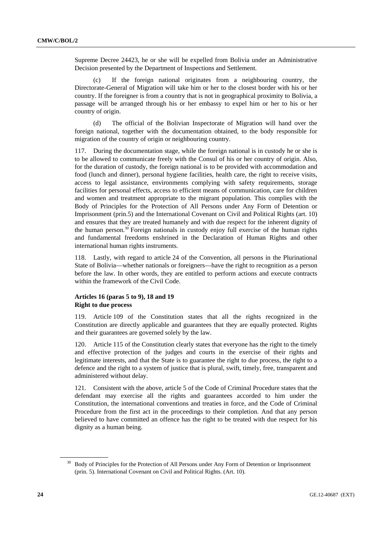Supreme Decree 24423, he or she will be expelled from Bolivia under an Administrative Decision presented by the Department of Inspections and Settlement.

 (c) If the foreign national originates from a neighbouring country, the Directorate-General of Migration will take him or her to the closest border with his or her country. If the foreigner is from a country that is not in geographical proximity to Bolivia, a passage will be arranged through his or her embassy to expel him or her to his or her country of origin.

 (d) The official of the Bolivian Inspectorate of Migration will hand over the foreign national, together with the documentation obtained, to the body responsible for migration of the country of origin or neighbouring country.

117. During the documentation stage, while the foreign national is in custody he or she is to be allowed to communicate freely with the Consul of his or her country of origin. Also, for the duration of custody, the foreign national is to be provided with accommodation and food (lunch and dinner), personal hygiene facilities, health care, the right to receive visits, access to legal assistance, environments complying with safety requirements, storage facilities for personal effects, access to efficient means of communication, care for children and women and treatment appropriate to the migrant population. This complies with the Body of Principles for the Protection of All Persons under Any Form of Detention or Imprisonment (prin.5) and the International Covenant on Civil and Political Rights (art. 10) and ensures that they are treated humanely and with due respect for the inherent dignity of the human person.<sup>30</sup> Foreign nationals in custody enjoy full exercise of the human rights and fundamental freedoms enshrined in the Declaration of Human Rights and other international human rights instruments.

118. Lastly, with regard to article 24 of the Convention, all persons in the Plurinational State of Bolivia—whether nationals or foreigners—have the right to recognition as a person before the law. In other words, they are entitled to perform actions and execute contracts within the framework of the Civil Code.

# **Articles 16 (paras 5 to 9), 18 and 19 Right to due process**

119. Article 109 of the Constitution states that all the rights recognized in the Constitution are directly applicable and guarantees that they are equally protected. Rights and their guarantees are governed solely by the law.

120. Article 115 of the Constitution clearly states that everyone has the right to the timely and effective protection of the judges and courts in the exercise of their rights and legitimate interests, and that the State is to guarantee the right to due process, the right to a defence and the right to a system of justice that is plural, swift, timely, free, transparent and administered without delay.

121. Consistent with the above, article 5 of the Code of Criminal Procedure states that the defendant may exercise all the rights and guarantees accorded to him under the Constitution, the international conventions and treaties in force, and the Code of Criminal Procedure from the first act in the proceedings to their completion. And that any person believed to have committed an offence has the right to be treated with due respect for his dignity as a human being.

<sup>&</sup>lt;sup>30</sup> Body of Principles for the Protection of All Persons under Any Form of Detention or Imprisonment (prin. 5). International Covenant on Civil and Political Rights. (Art. 10).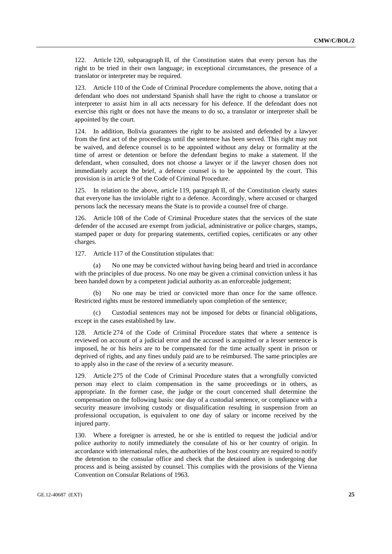122. Article 120, subparagraph II, of the Constitution states that every person has the right to be tried in their own language; in exceptional circumstances, the presence of a translator or interpreter may be required.

123. Article 110 of the Code of Criminal Procedure complements the above, noting that a defendant who does not understand Spanish shall have the right to choose a translator or interpreter to assist him in all acts necessary for his defence. If the defendant does not exercise this right or does not have the means to do so, a translator or interpreter shall be appointed by the court.

124. In addition, Bolivia guarantees the right to be assisted and defended by a lawyer from the first act of the proceedings until the sentence has been served. This right may not be waived, and defence counsel is to be appointed without any delay or formality at the time of arrest or detention or before the defendant begins to make a statement. If the defendant, when consulted, does not choose a lawyer or if the lawyer chosen does not immediately accept the brief, a defence counsel is to be appointed by the court. This provision is in article 9 of the Code of Criminal Procedure.

125. In relation to the above, article 119, paragraph II, of the Constitution clearly states that everyone has the inviolable right to a defence. Accordingly, where accused or charged persons lack the necessary means the State is to provide a counsel free of charge.

126. Article 108 of the Code of Criminal Procedure states that the services of the state defender of the accused are exempt from judicial, administrative or police charges, stamps, stamped paper or duty for preparing statements, certified copies, certificates or any other charges.

127. Article 117 of the Constitution stipulates that:

No one may be convicted without having being heard and tried in accordance with the principles of due process. No one may be given a criminal conviction unless it has been handed down by a competent judicial authority as an enforceable judgement;

No one may be tried or convicted more than once for the same offence. Restricted rights must be restored immediately upon completion of the sentence;

 (c) Custodial sentences may not be imposed for debts or financial obligations, except in the cases established by law.

128. Article 274 of the Code of Criminal Procedure states that where a sentence is reviewed on account of a judicial error and the accused is acquitted or a lesser sentence is imposed, he or his heirs are to be compensated for the time actually spent in prison or deprived of rights, and any fines unduly paid are to be reimbursed. The same principles are to apply also in the case of the review of a security measure.

129. Article 275 of the Code of Criminal Procedure states that a wrongfully convicted person may elect to claim compensation in the same proceedings or in others, as appropriate. In the former case, the judge or the court concerned shall determine the compensation on the following basis: one day of a custodial sentence, or compliance with a security measure involving custody or disqualification resulting in suspension from an professional occupation, is equivalent to one day of salary or income received by the injured party.

130. Where a foreigner is arrested, he or she is entitled to request the judicial and/or police authority to notify immediately the consulate of his or her country of origin. In accordance with international rules, the authorities of the host country are required to notify the detention to the consular office and check that the detained alien is undergoing due process and is being assisted by counsel. This complies with the provisions of the Vienna Convention on Consular Relations of 1963.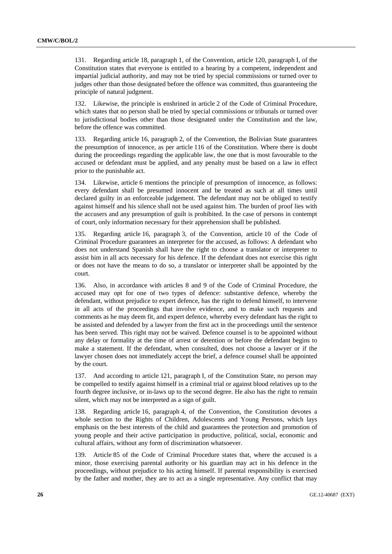131. Regarding article 18, paragraph 1, of the Convention, article 120, paragraph I, of the Constitution states that everyone is entitled to a hearing by a competent, independent and impartial judicial authority, and may not be tried by special commissions or turned over to judges other than those designated before the offence was committed, thus guaranteeing the principle of natural judgment.

132. Likewise, the principle is enshrined in article 2 of the Code of Criminal Procedure, which states that no person shall be tried by special commissions or tribunals or turned over to jurisdictional bodies other than those designated under the Constitution and the law, before the offence was committed.

133. Regarding article 16, paragraph 2, of the Convention, the Bolivian State guarantees the presumption of innocence, as per article 116 of the Constitution. Where there is doubt during the proceedings regarding the applicable law, the one that is most favourable to the accused or defendant must be applied, and any penalty must be based on a law in effect prior to the punishable act.

134. Likewise, article 6 mentions the principle of presumption of innocence, as follows: every defendant shall be presumed innocent and be treated as such at all times until declared guilty in an enforceable judgement. The defendant may not be obliged to testify against himself and his silence shall not be used against him. The burden of proof lies with the accusers and any presumption of guilt is prohibited. In the case of persons in contempt of court, only information necessary for their apprehension shall be published.

135. Regarding article 16, paragraph 3, of the Convention, article 10 of the Code of Criminal Procedure guarantees an interpreter for the accused, as follows: A defendant who does not understand Spanish shall have the right to choose a translator or interpreter to assist him in all acts necessary for his defence. If the defendant does not exercise this right or does not have the means to do so, a translator or interpreter shall be appointed by the court.

136. Also, in accordance with articles 8 and 9 of the Code of Criminal Procedure, the accused may opt for one of two types of defence: substantive defence, whereby the defendant, without prejudice to expert defence, has the right to defend himself, to intervene in all acts of the proceedings that involve evidence, and to make such requests and comments as he may deem fit, and expert defence, whereby every defendant has the right to be assisted and defended by a lawyer from the first act in the proceedings until the sentence has been served. This right may not be waived. Defence counsel is to be appointed without any delay or formality at the time of arrest or detention or before the defendant begins to make a statement. If the defendant, when consulted, does not choose a lawyer or if the lawyer chosen does not immediately accept the brief, a defence counsel shall be appointed by the court.

137. And according to article 121, paragraph I, of the Constitution State, no person may be compelled to testify against himself in a criminal trial or against blood relatives up to the fourth degree inclusive, or in-laws up to the second degree. He also has the right to remain silent, which may not be interpreted as a sign of guilt.

138. Regarding article 16, paragraph 4, of the Convention, the Constitution devotes a whole section to the Rights of Children, Adolescents and Young Persons, which lays emphasis on the best interests of the child and guarantees the protection and promotion of young people and their active participation in productive, political, social, economic and cultural affairs, without any form of discrimination whatsoever.

139. Article 85 of the Code of Criminal Procedure states that, where the accused is a minor, those exercising parental authority or his guardian may act in his defence in the proceedings, without prejudice to his acting himself. If parental responsibility is exercised by the father and mother, they are to act as a single representative. Any conflict that may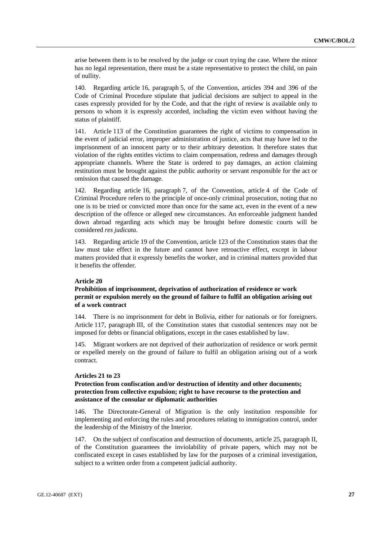arise between them is to be resolved by the judge or court trying the case. Where the minor has no legal representation, there must be a state representative to protect the child, on pain of nullity.

140. Regarding article 16, paragraph 5, of the Convention, articles 394 and 396 of the Code of Criminal Procedure stipulate that judicial decisions are subject to appeal in the cases expressly provided for by the Code, and that the right of review is available only to persons to whom it is expressly accorded, including the victim even without having the status of plaintiff.

141. Article 113 of the Constitution guarantees the right of victims to compensation in the event of judicial error, improper administration of justice, acts that may have led to the imprisonment of an innocent party or to their arbitrary detention. It therefore states that violation of the rights entitles victims to claim compensation, redress and damages through appropriate channels. Where the State is ordered to pay damages, an action claiming restitution must be brought against the public authority or servant responsible for the act or omission that caused the damage.

142. Regarding article 16, paragraph 7, of the Convention, article 4 of the Code of Criminal Procedure refers to the principle of once-only criminal prosecution, noting that no one is to be tried or convicted more than once for the same act, even in the event of a new description of the offence or alleged new circumstances. An enforceable judgment handed down abroad regarding acts which may be brought before domestic courts will be considered *res judicata*.

143. Regarding article 19 of the Convention, article 123 of the Constitution states that the law must take effect in the future and cannot have retroactive effect, except in labour matters provided that it expressly benefits the worker, and in criminal matters provided that it benefits the offender.

### **Article 20**

# **Prohibition of imprisonment, deprivation of authorization of residence or work permit or expulsion merely on the ground of failure to fulfil an obligation arising out of a work contract**

144. There is no imprisonment for debt in Bolivia, either for nationals or for foreigners. Article 117, paragraph III, of the Constitution states that custodial sentences may not be imposed for debts or financial obligations, except in the cases established by law.

145. Migrant workers are not deprived of their authorization of residence or work permit or expelled merely on the ground of failure to fulfil an obligation arising out of a work contract.

### **Articles 21 to 23**

# **Protection from confiscation and/or destruction of identity and other documents; protection from collective expulsion; right to have recourse to the protection and assistance of the consular or diplomatic authorities**

146. The Directorate-General of Migration is the only institution responsible for implementing and enforcing the rules and procedures relating to immigration control, under the leadership of the Ministry of the Interior.

147. On the subject of confiscation and destruction of documents, article 25, paragraph II, of the Constitution guarantees the inviolability of private papers, which may not be confiscated except in cases established by law for the purposes of a criminal investigation, subject to a written order from a competent judicial authority.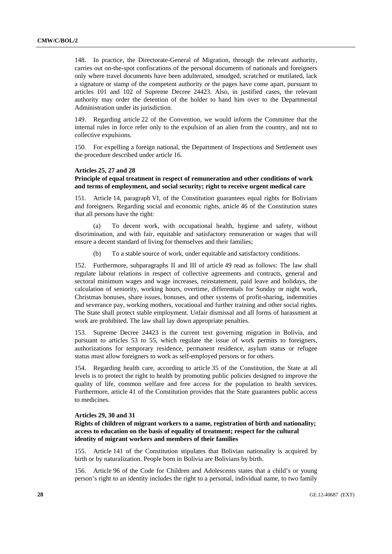148. In practice, the Directorate-General of Migration, through the relevant authority, carries out on-the-spot confiscations of the personal documents of nationals and foreigners only where travel documents have been adulterated, smudged, scratched or mutilated, lack a signature or stamp of the competent authority or the pages have come apart, pursuant to articles 101 and 102 of Supreme Decree 24423. Also, in justified cases, the relevant authority may order the detention of the holder to hand him over to the Departmental Administration under its jurisdiction.

149. Regarding article 22 of the Convention, we would inform the Committee that the internal rules in force refer only to the expulsion of an alien from the country, and not to collective expulsions.

150. For expelling a foreign national, the Department of Inspections and Settlement uses the procedure described under article 16.

### **Articles 25, 27 and 28**

## **Principle of equal treatment in respect of remuneration and other conditions of work and terms of employment, and social security; right to receive urgent medical care**

151. Article 14, paragraph VI, of the Constitution guarantees equal rights for Bolivians and foreigners. Regarding social and economic rights, article 46 of the Constitution states that all persons have the right:

 (a) To decent work, with occupational health, hygiene and safety, without discrimination, and with fair, equitable and satisfactory remuneration or wages that will ensure a decent standard of living for themselves and their families;

(b) To a stable source of work, under equitable and satisfactory conditions.

152. Furthermore, subparagraphs II and III of article 49 read as follows: The law shall regulate labour relations in respect of collective agreements and contracts, general and sectoral minimum wages and wage increases, reinstatement, paid leave and holidays, the calculation of seniority, working hours, overtime, differentials for Sunday or night work, Christmas bonuses, share issues, bonuses, and other systems of profit-sharing, indemnities and severance pay, working mothers, vocational and further training and other social rights. The State shall protect stable employment. Unfair dismissal and all forms of harassment at work are prohibited. The law shall lay down appropriate penalties.

153. Supreme Decree 24423 is the current text governing migration in Bolivia, and pursuant to articles 53 to 55, which regulate the issue of work permits to foreigners, authorizations for temporary residence, permanent residence, asylum status or refugee status must allow foreigners to work as self-employed persons or for others.

154. Regarding health care, according to article 35 of the Constitution, the State at all levels is to protect the right to health by promoting public policies designed to improve the quality of life, common welfare and free access for the population to health services. Furthermore, article 41 of the Constitution provides that the State guarantees public access to medicines.

# **Articles 29, 30 and 31**

**Rights of children of migrant workers to a name, registration of birth and nationality; access to education on the basis of equality of treatment; respect for the cultural identity of migrant workers and members of their families** 

155. Article 141 of the Constitution stipulates that Bolivian nationality is acquired by birth or by naturalization. People born in Bolivia are Bolivians by birth.

156. Article 96 of the Code for Children and Adolescents states that a child's or young person's right to an identity includes the right to a personal, individual name, to two family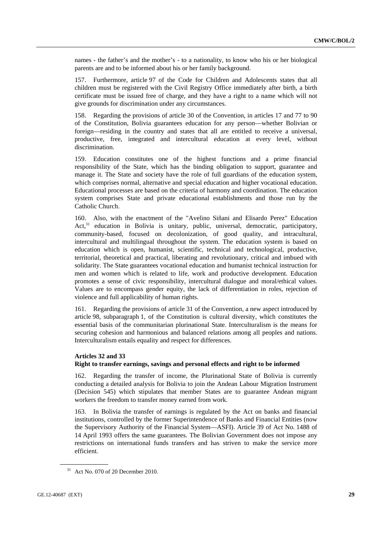names - the father's and the mother's - to a nationality, to know who his or her biological parents are and to be informed about his or her family background.

157. Furthermore, article 97 of the Code for Children and Adolescents states that all children must be registered with the Civil Registry Office immediately after birth, a birth certificate must be issued free of charge, and they have a right to a name which will not give grounds for discrimination under any circumstances.

158. Regarding the provisions of article 30 of the Convention, in articles 17 and 77 to 90 of the Constitution, Bolivia guarantees education for any person—whether Bolivian or foreign—residing in the country and states that all are entitled to receive a universal, productive, free, integrated and intercultural education at every level, without discrimination.

159. Education constitutes one of the highest functions and a prime financial responsibility of the State, which has the binding obligation to support, guarantee and manage it. The State and society have the role of full guardians of the education system, which comprises normal, alternative and special education and higher vocational education. Educational processes are based on the criteria of harmony and coordination. The education system comprises State and private educational establishments and those run by the Catholic Church.

160. Also, with the enactment of the "Avelino Siñani and Elisardo Perez" Education Act,<sup>31</sup> education in Bolivia is unitary, public, universal, democratic, participatory, community-based, focused on decolonization, of good quality, and intracultural, intercultural and multilingual throughout the system. The education system is based on education which is open, humanist, scientific, technical and technological, productive, territorial, theoretical and practical, liberating and revolutionary, critical and imbued with solidarity. The State guarantees vocational education and humanist technical instruction for men and women which is related to life, work and productive development. Education promotes a sense of civic responsibility, intercultural dialogue and moral/ethical values. Values are to encompass gender equity, the lack of differentiation in roles, rejection of violence and full applicability of human rights.

161. Regarding the provisions of article 31 of the Convention, a new aspect introduced by article 98, subparagraph 1, of the Constitution is cultural diversity, which constitutes the essential basis of the communitarian plurinational State. Interculturalism is the means for securing cohesion and harmonious and balanced relations among all peoples and nations. Interculturalism entails equality and respect for differences.

### **Articles 32 and 33**

# **Right to transfer earnings, savings and personal effects and right to be informed**

162. Regarding the transfer of income, the Plurinational State of Bolivia is currently conducting a detailed analysis for Bolivia to join the Andean Labour Migration Instrument (Decision 545) which stipulates that member States are to guarantee Andean migrant workers the freedom to transfer money earned from work.

163. In Bolivia the transfer of earnings is regulated by the Act on banks and financial institutions, controlled by the former Superintendence of Banks and Financial Entities (now the Supervisory Authority of the Financial System—ASFI). Article 39 of Act No. 1488 of 14 April 1993 offers the same guarantees. The Bolivian Government does not impose any restrictions on international funds transfers and has striven to make the service more efficient.

<sup>31</sup> Act No. 070 of 20 December 2010.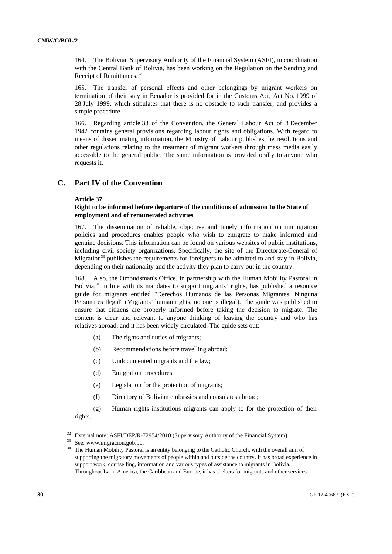164. The Bolivian Supervisory Authority of the Financial System (ASFI), in coordination with the Central Bank of Bolivia, has been working on the Regulation on the Sending and Receipt of Remittances.32

165. The transfer of personal effects and other belongings by migrant workers on termination of their stay in Ecuador is provided for in the Customs Act, Act No. 1999 of 28 July 1999, which stipulates that there is no obstacle to such transfer, and provides a simple procedure.

166. Regarding article 33 of the Convention, the General Labour Act of 8 December 1942 contains general provisions regarding labour rights and obligations. With regard to means of disseminating information, the Ministry of Labour publishes the resolutions and other regulations relating to the treatment of migrant workers through mass media easily accessible to the general public. The same information is provided orally to anyone who requests it.

# **C. Part IV of the Convention**

#### **Article 37**

# **Right to be informed before departure of the conditions of admission to the State of employment and of remunerated activities**

167. The dissemination of reliable, objective and timely information on immigration policies and procedures enables people who wish to emigrate to make informed and genuine decisions. This information can be found on various websites of public institutions, including civil society organizations. Specifically, the site of the Directorate-General of Migration<sup>33</sup> publishes the requirements for foreigners to be admitted to and stay in Bolivia, depending on their nationality and the activity they plan to carry out in the country.

168. Also, the Ombudsman's Office, in partnership with the Human Mobility Pastoral in Bolivia, $34$  in line with its mandates to support migrants' rights, has published a resource guide for migrants entitled "Derechos Humanos de las Personas Migrantes, Ninguna Persona es Ilegal" (Migrants' human rights, no one is illegal). The guide was published to ensure that citizens are properly informed before taking the decision to migrate. The content is clear and relevant to anyone thinking of leaving the country and who has relatives abroad, and it has been widely circulated. The guide sets out:

- (a) The rights and duties of migrants;
- (b) Recommendations before travelling abroad;
- (c) Undocumented migrants and the law;
- (d) Emigration procedures;
- (e) Legislation for the protection of migrants;
- (f) Directory of Bolivian embassies and consulates abroad;
- (g) Human rights institutions migrants can apply to for the protection of their rights.

<sup>&</sup>lt;sup>32</sup> External note: ASFI/DEP/R-72954/2010 (Supervisory Authority of the Financial System).<br><sup>33</sup> See: www.migracion.gob.bo.

<sup>&</sup>lt;sup>34</sup> The Human Mobility Pastoral is an entity belonging to the Catholic Church, with the overall aim of supporting the migratory movements of people within and outside the country. It has broad experience in support work, counselling, information and various types of assistance to migrants in Bolivia. Throughout Latin America, the Caribbean and Europe, it has shelters for migrants and other services.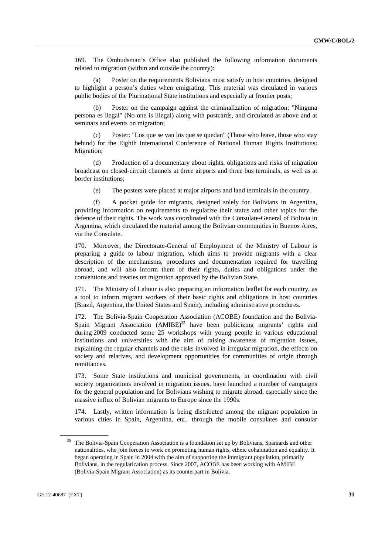169. The Ombudsman's Office also published the following information documents related to migration (within and outside the country):

 (a) Poster on the requirements Bolivians must satisfy in host countries, designed to highlight a person's duties when emigrating. This material was circulated in various public bodies of the Plurinational State institutions and especially at frontier posts;

 (b) Poster on the campaign against the criminalization of migration: "Ninguna persona es ilegal" (No one is illegal) along with postcards, and circulated as above and at seminars and events on migration;

 (c) Poster: "Los que se van los que se quedan" (Those who leave, those who stay behind) for the Eighth International Conference of National Human Rights Institutions: Migration;

 (d) Production of a documentary about rights, obligations and risks of migration broadcast on closed-circuit channels at three airports and three bus terminals, as well as at border institutions;

(e) The posters were placed at major airports and land terminals in the country.

 (f) A pocket guide for migrants, designed solely for Bolivians in Argentina, providing information on requirements to regularize their status and other topics for the defence of their rights. The work was coordinated with the Consulate-General of Bolivia in Argentina, which circulated the material among the Bolivian communities in Buenos Aires, via the Consulate.

170. Moreover, the Directorate-General of Employment of the Ministry of Labour is preparing a guide to labour migration, which aims to provide migrants with a clear description of the mechanisms, procedures and documentation required for travelling abroad, and will also inform them of their rights, duties and obligations under the conventions and treaties on migration approved by the Bolivian State.

171. The Ministry of Labour is also preparing an information leaflet for each country, as a tool to inform migrant workers of their basic rights and obligations in host countries (Brazil, Argentina, the United States and Spain), including administrative procedures.

172. The Bolivia-Spain Cooperation Association (ACOBE) foundation and the Bolivia-Spain Migrant Association  $(AM IBE)^{35}$  have been publicizing migrants' rights and during 2009 conducted some 25 workshops with young people in various educational institutions and universities with the aim of raising awareness of migration issues, explaining the regular channels and the risks involved in irregular migration, the effects on society and relatives, and development opportunities for communities of origin through remittances.

173. Some State institutions and municipal governments, in coordination with civil society organizations involved in migration issues, have launched a number of campaigns for the general population and for Bolivians wishing to migrate abroad, especially since the massive influx of Bolivian migrants to Europe since the 1990s.

174. Lastly, written information is being distributed among the migrant population in various cities in Spain, Argentina, etc., through the mobile consulates and consular

<sup>&</sup>lt;sup>35</sup> The Bolivia-Spain Cooperation Association is a foundation set up by Bolivians, Spaniards and other nationalities, who join forces to work on promoting human rights, ethnic cohabitation and equality. It began operating in Spain in 2004 with the aim of supporting the immigrant population, primarily Bolivians, in the regularization process. Since 2007, ACOBE has been working with AMIBE (Bolivia-Spain Migrant Association) as its counterpart in Bolivia.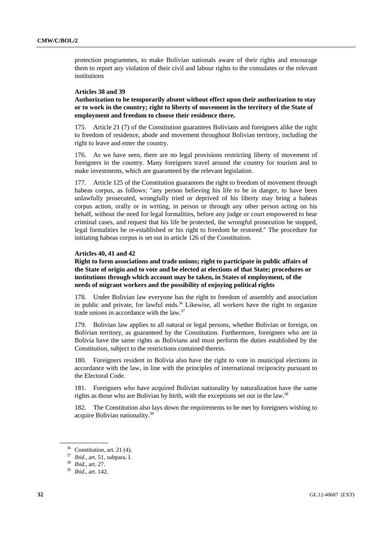protection programmes, to make Bolivian nationals aware of their rights and encourage them to report any violation of their civil and labour rights to the consulates or the relevant institutions

### **Articles 38 and 39**

**Authorization to be temporarily absent without effect upon their authorization to stay or to work in the country; right to liberty of movement in the territory of the State of employment and freedom to choose their residence there.** 

175. Article 21 (7) of the Constitution guarantees Bolivians and foreigners alike the right to freedom of residence, abode and movement throughout Bolivian territory, including the right to leave and enter the country.

176. As we have seen, there are no legal provisions restricting liberty of movement of foreigners in the country. Many foreigners travel around the country for tourism and to make investments, which are guaranteed by the relevant legislation.

177. Article 125 of the Constitution guarantees the right to freedom of movement through habeas corpus, as follows: "any person believing his life to be in danger, to have been unlawfully prosecuted, wrongfully tried or deprived of his liberty may bring a habeas corpus action, orally or in writing, in person or through any other person acting on his behalf, without the need for legal formalities, before any judge or court empowered to hear criminal cases, and request that his life be protected, the wrongful prosecution be stopped, legal formalities be re-established or his right to freedom be restored." The procedure for initiating habeas corpus is set out in article 126 of the Constitution.

#### **Articles 40, 41 and 42**

**Right to form associations and trade unions; right to participate in public affairs of the State of origin and to vote and be elected at elections of that State; procedures or institutions through which account may be taken, in States of employment, of the needs of migrant workers and the possibility of enjoying political rights** 

178. Under Bolivian law everyone has the right to freedom of assembly and association in public and private, for lawful ends. $36$  Likewise, all workers have the right to organize trade unions in accordance with the law.37

179. Bolivian law applies to all natural or legal persons, whether Bolivian or foreign, on Bolivian territory, as guaranteed by the Constitution. Furthermore, foreigners who are in Bolivia have the same rights as Bolivians and must perform the duties established by the Constitution, subject to the restrictions contained therein.

180. Foreigners resident in Bolivia also have the right to vote in municipal elections in accordance with the law, in line with the principles of international reciprocity pursuant to the Electoral Code.

181. Foreigners who have acquired Bolivian nationality by naturalization have the same rights as those who are Bolivian by birth, with the exceptions set out in the law.38

182. The Constitution also lays down the requirements to be met by foreigners wishing to acquire Bolivian nationality.39

 $36$  Constitution, art. 21 (4).

<sup>37</sup> *Ibid*., art. 51, subpara. I. 38 *Ibid*., art. 27. 39 *Ibid*., art. 142.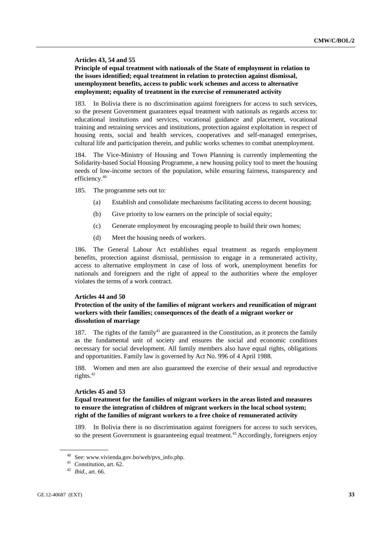#### **Articles 43, 54 and 55**

# **Principle of equal treatment with nationals of the State of employment in relation to the issues identified; equal treatment in relation to protection against dismissal, unemployment benefits, access to public work schemes and access to alternative employment; equality of treatment in the exercise of remunerated activity**

In Bolivia there is no discrimination against foreigners for access to such services, so the present Government guarantees equal treatment with nationals as regards access to: educational institutions and services, vocational guidance and placement, vocational training and retraining services and institutions, protection against exploitation in respect of housing rents, social and health services, cooperatives and self-managed enterprises, cultural life and participation therein, and public works schemes to combat unemployment.

184. The Vice-Ministry of Housing and Town Planning is currently implementing the Solidarity-based Social Housing Programme, a new housing policy tool to meet the housing needs of low-income sectors of the population, while ensuring fairness, transparency and efficiency.<sup>40</sup>

185. The programme sets out to:

- (a) Establish and consolidate mechanisms facilitating access to decent housing;
- (b) Give priority to low earners on the principle of social equity;
- (c) Generate employment by encouraging people to build their own homes;
- (d) Meet the housing needs of workers.

186. The General Labour Act establishes equal treatment as regards employment benefits, protection against dismissal, permission to engage in a remunerated activity, access to alternative employment in case of loss of work, unemployment benefits for nationals and foreigners and the right of appeal to the authorities where the employer violates the terms of a work contract.

#### **Articles 44 and 50**

# **Protection of the unity of the families of migrant workers and reunification of migrant workers with their families; consequences of the death of a migrant worker or dissolution of marriage**

187. The rights of the family $41$  are guaranteed in the Constitution, as it protects the family as the fundamental unit of society and ensures the social and economic conditions necessary for social development. All family members also have equal rights, obligations and opportunities. Family law is governed by Act No. 996 of 4 April 1988.

188. Women and men are also guaranteed the exercise of their sexual and reproductive rights.<sup>42</sup>

#### **Articles 45 and 53**

# **Equal treatment for the families of migrant workers in the areas listed and measures to ensure the integration of children of migrant workers in the local school system; right of the families of migrant workers to a free choice of remunerated activity**

189. In Bolivia there is no discrimination against foreigners for access to such services, so the present Government is guaranteeing equal treatment.<sup>43</sup> Accordingly, foreigners enjoy

<sup>40</sup> See: www.vivienda.gov.bo/web/pvs\_info.php. 41 Constitution, art. 62.

<sup>42</sup> *Ibid*., art. 66.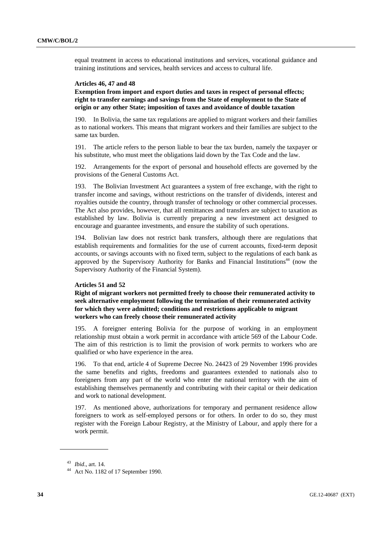equal treatment in access to educational institutions and services, vocational guidance and training institutions and services, health services and access to cultural life.

### **Articles 46, 47 and 48**

**Exemption from import and export duties and taxes in respect of personal effects; right to transfer earnings and savings from the State of employment to the State of origin or any other State; imposition of taxes and avoidance of double taxation** 

190. In Bolivia, the same tax regulations are applied to migrant workers and their families as to national workers. This means that migrant workers and their families are subject to the same tax burden.

191. The article refers to the person liable to bear the tax burden, namely the taxpayer or his substitute, who must meet the obligations laid down by the Tax Code and the law.

192. Arrangements for the export of personal and household effects are governed by the provisions of the General Customs Act.

193. The Bolivian Investment Act guarantees a system of free exchange, with the right to transfer income and savings, without restrictions on the transfer of dividends, interest and royalties outside the country, through transfer of technology or other commercial processes. The Act also provides, however, that all remittances and transfers are subject to taxation as established by law. Bolivia is currently preparing a new investment act designed to encourage and guarantee investments, and ensure the stability of such operations.

194. Bolivian law does not restrict bank transfers, although there are regulations that establish requirements and formalities for the use of current accounts, fixed-term deposit accounts, or savings accounts with no fixed term, subject to the regulations of each bank as approved by the Supervisory Authority for Banks and Financial Institutions<sup>44</sup> (now the Supervisory Authority of the Financial System).

### **Articles 51 and 52**

**Right of migrant workers not permitted freely to choose their remunerated activity to seek alternative employment following the termination of their remunerated activity for which they were admitted; conditions and restrictions applicable to migrant workers who can freely choose their remunerated activity** 

195. A foreigner entering Bolivia for the purpose of working in an employment relationship must obtain a work permit in accordance with article 569 of the Labour Code. The aim of this restriction is to limit the provision of work permits to workers who are qualified or who have experience in the area.

196. To that end, article 4 of Supreme Decree No. 24423 of 29 November 1996 provides the same benefits and rights, freedoms and guarantees extended to nationals also to foreigners from any part of the world who enter the national territory with the aim of establishing themselves permanently and contributing with their capital or their dedication and work to national development.

197. As mentioned above, authorizations for temporary and permanent residence allow foreigners to work as self-employed persons or for others. In order to do so, they must register with the Foreign Labour Registry, at the Ministry of Labour, and apply there for a work permit.

<sup>43</sup> *Ibid*., art. 14. 44 Act No. 1182 of 17 September 1990.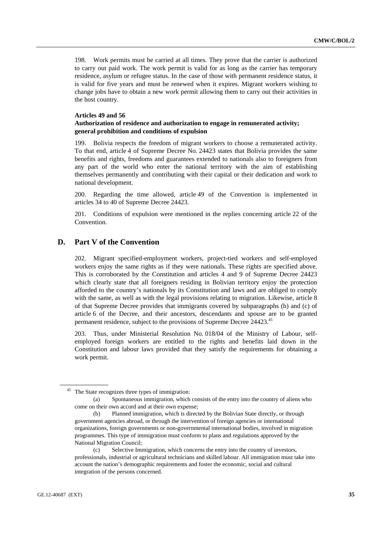198. Work permits must be carried at all times. They prove that the carrier is authorized to carry out paid work. The work permit is valid for as long as the carrier has temporary residence, asylum or refugee status. In the case of those with permanent residence status, it is valid for five years and must be renewed when it expires. Migrant workers wishing to change jobs have to obtain a new work permit allowing them to carry out their activities in the host country.

#### **Articles 49 and 56**

# **Authorization of residence and authorization to engage in remunerated activity; general prohibition and conditions of expulsion**

199. Bolivia respects the freedom of migrant workers to choose a remunerated activity. To that end, article 4 of Supreme Decree No. 24423 states that Bolivia provides the same benefits and rights, freedoms and guarantees extended to nationals also to foreigners from any part of the world who enter the national territory with the aim of establishing themselves permanently and contributing with their capital or their dedication and work to national development.

200. Regarding the time allowed, article 49 of the Convention is implemented in articles 34 to 40 of Supreme Decree 24423.

201. Conditions of expulsion were mentioned in the replies concerning article 22 of the Convention.

# **D. Part V of the Convention**

202. Migrant specified-employment workers, project-tied workers and self-employed workers enjoy the same rights as if they were nationals. These rights are specified above. This is corroborated by the Constitution and articles 4 and 9 of Supreme Decree 24423 which clearly state that all foreigners residing in Bolivian territory enjoy the protection afforded to the country's nationals by its Constitution and laws and are obliged to comply with the same, as well as with the legal provisions relating to migration. Likewise, article 8 of that Supreme Decree provides that immigrants covered by subparagraphs (b) and (c) of article 6 of the Decree, and their ancestors, descendants and spouse are to be granted permanent residence, subject to the provisions of Supreme Decree 24423.45

203. Thus, under Ministerial Resolution No. 018/04 of the Ministry of Labour, selfemployed foreign workers are entitled to the rights and benefits laid down in the Constitution and labour laws provided that they satisfy the requirements for obtaining a work permit.

<sup>45</sup> The State recognizes three types of immigration:

 <sup>(</sup>a) Spontaneous immigration, which consists of the entry into the country of aliens who come on their own accord and at their own expense;

 <sup>(</sup>b) Planned immigration, which is directed by the Bolivian State directly, or through government agencies abroad, or through the intervention of foreign agencies or international organizations, foreign governments or non-governmental international bodies, involved in migration programmes. This type of immigration must conform to plans and regulations approved by the National Migration Council;

 <sup>(</sup>c) Selective Immigration, which concerns the entry into the country of investors, professionals, industrial or agricultural technicians and skilled labour. All immigration must take into account the nation's demographic requirements and foster the economic, social and cultural integration of the persons concerned.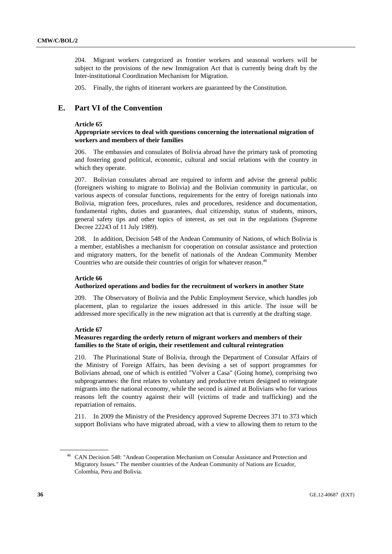204. Migrant workers categorized as frontier workers and seasonal workers will be subject to the provisions of the new Immigration Act that is currently being draft by the Inter-institutional Coordination Mechanism for Migration.

205. Finally, the rights of itinerant workers are guaranteed by the Constitution.

# **E. Part VI of the Convention**

#### **Article 65**

### **Appropriate services to deal with questions concerning the international migration of workers and members of their families**

206. The embassies and consulates of Bolivia abroad have the primary task of promoting and fostering good political, economic, cultural and social relations with the country in which they operate.

207. Bolivian consulates abroad are required to inform and advise the general public (foreigners wishing to migrate to Bolivia) and the Bolivian community in particular, on various aspects of consular functions, requirements for the entry of foreign nationals into Bolivia, migration fees, procedures, rules and procedures, residence and documentation, fundamental rights, duties and guarantees, dual citizenship, status of students, minors, general safety tips and other topics of interest, as set out in the regulations (Supreme Decree 22243 of 11 July 1989).

208. In addition, Decision 548 of the Andean Community of Nations, of which Bolivia is a member, establishes a mechanism for cooperation on consular assistance and protection and migratory matters, for the benefit of nationals of the Andean Community Member Countries who are outside their countries of origin for whatever reason.<sup>46</sup>

#### **Article 66**

#### **Authorized operations and bodies for the recruitment of workers in another State**

209. The Observatory of Bolivia and the Public Employment Service, which handles job placement, plan to regularize the issues addressed in this article. The issue will be addressed more specifically in the new migration act that is currently at the drafting stage.

# **Article 67**

# **Measures regarding the orderly return of migrant workers and members of their families to the State of origin, their resettlement and cultural reintegration**

210. The Plurinational State of Bolivia, through the Department of Consular Affairs of the Ministry of Foreign Affairs, has been devising a set of support programmes for Bolivians abroad, one of which is entitled "Volver a Casa" (Going home), comprising two subprogrammes: the first relates to voluntary and productive return designed to reintegrate migrants into the national economy, while the second is aimed at Bolivians who for various reasons left the country against their will (victims of trade and trafficking) and the repatriation of remains.

211. In 2009 the Ministry of the Presidency approved Supreme Decrees 371 to 373 which support Bolivians who have migrated abroad, with a view to allowing them to return to the

<sup>46</sup> CAN Decision 548: "Andean Cooperation Mechanism on Consular Assistance and Protection and Migratory Issues." The member countries of the Andean Community of Nations are Ecuador, Colombia, Peru and Bolivia.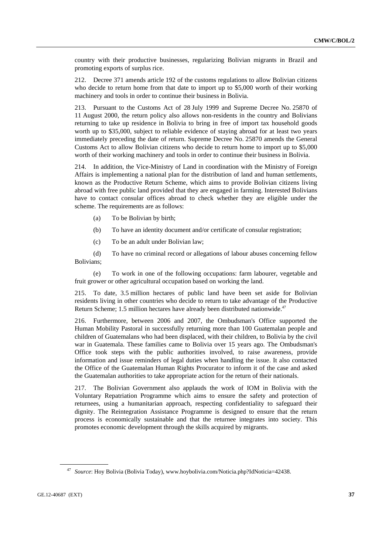country with their productive businesses, regularizing Bolivian migrants in Brazil and promoting exports of surplus rice.

212. Decree 371 amends article 192 of the customs regulations to allow Bolivian citizens who decide to return home from that date to import up to \$5,000 worth of their working machinery and tools in order to continue their business in Bolivia.

213. Pursuant to the Customs Act of 28 July 1999 and Supreme Decree No. 25870 of 11 August 2000, the return policy also allows non-residents in the country and Bolivians returning to take up residence in Bolivia to bring in free of import tax household goods worth up to \$35,000, subject to reliable evidence of staying abroad for at least two years immediately preceding the date of return. Supreme Decree No. 25870 amends the General Customs Act to allow Bolivian citizens who decide to return home to import up to \$5,000 worth of their working machinery and tools in order to continue their business in Bolivia.

214. In addition, the Vice-Ministry of Land in coordination with the Ministry of Foreign Affairs is implementing a national plan for the distribution of land and human settlements, known as the Productive Return Scheme, which aims to provide Bolivian citizens living abroad with free public land provided that they are engaged in farming. Interested Bolivians have to contact consular offices abroad to check whether they are eligible under the scheme. The requirements are as follows:

- (a) To be Bolivian by birth;
- (b) To have an identity document and/or certificate of consular registration;
- (c) To be an adult under Bolivian law;

 (d) To have no criminal record or allegations of labour abuses concerning fellow Bolivians;

 (e) To work in one of the following occupations: farm labourer, vegetable and fruit grower or other agricultural occupation based on working the land.

215. To date, 3.5 million hectares of public land have been set aside for Bolivian residents living in other countries who decide to return to take advantage of the Productive Return Scheme; 1.5 million hectares have already been distributed nationwide.<sup>47</sup>

216. Furthermore, between 2006 and 2007, the Ombudsman's Office supported the Human Mobility Pastoral in successfully returning more than 100 Guatemalan people and children of Guatemalans who had been displaced, with their children, to Bolivia by the civil war in Guatemala. These families came to Bolivia over 15 years ago. The Ombudsman's Office took steps with the public authorities involved, to raise awareness, provide information and issue reminders of legal duties when handling the issue. It also contacted the Office of the Guatemalan Human Rights Procurator to inform it of the case and asked the Guatemalan authorities to take appropriate action for the return of their nationals.

217. The Bolivian Government also applauds the work of IOM in Bolivia with the Voluntary Repatriation Programme which aims to ensure the safety and protection of returnees, using a humanitarian approach, respecting confidentiality to safeguard their dignity. The Reintegration Assistance Programme is designed to ensure that the return process is economically sustainable and that the returnee integrates into society. This promotes economic development through the skills acquired by migrants.

<sup>47</sup> *Source*: Hoy Bolivia (Bolivia Today), www.hoybolivia.com/Noticia.php?IdNoticia=42438.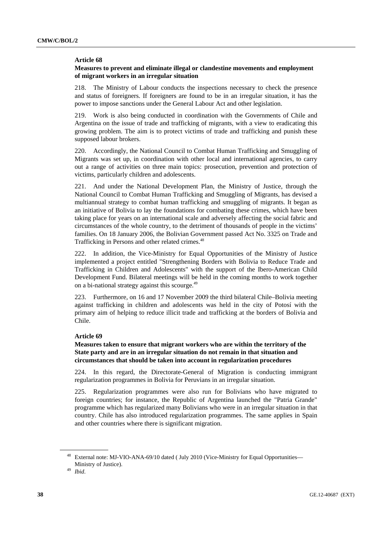#### **Article 68**

# **Measures to prevent and eliminate illegal or clandestine movements and employment of migrant workers in an irregular situation**

218. The Ministry of Labour conducts the inspections necessary to check the presence and status of foreigners. If foreigners are found to be in an irregular situation, it has the power to impose sanctions under the General Labour Act and other legislation.

219. Work is also being conducted in coordination with the Governments of Chile and Argentina on the issue of trade and trafficking of migrants, with a view to eradicating this growing problem. The aim is to protect victims of trade and trafficking and punish these supposed labour brokers.

220. Accordingly, the National Council to Combat Human Trafficking and Smuggling of Migrants was set up, in coordination with other local and international agencies, to carry out a range of activities on three main topics: prosecution, prevention and protection of victims, particularly children and adolescents.

221. And under the National Development Plan, the Ministry of Justice, through the National Council to Combat Human Trafficking and Smuggling of Migrants, has devised a multiannual strategy to combat human trafficking and smuggling of migrants. It began as an initiative of Bolivia to lay the foundations for combating these crimes, which have been taking place for years on an international scale and adversely affecting the social fabric and circumstances of the whole country, to the detriment of thousands of people in the victims' families. On 18 January 2006, the Bolivian Government passed Act No. 3325 on Trade and Trafficking in Persons and other related crimes.<sup>48</sup>

222. In addition, the Vice-Ministry for Equal Opportunities of the Ministry of Justice implemented a project entitled "Strengthening Borders with Bolivia to Reduce Trade and Trafficking in Children and Adolescents" with the support of the Ibero-American Child Development Fund. Bilateral meetings will be held in the coming months to work together on a bi-national strategy against this scourge.49

223. Furthermore, on 16 and 17 November 2009 the third bilateral Chile–Bolivia meeting against trafficking in children and adolescents was held in the city of Potosí with the primary aim of helping to reduce illicit trade and trafficking at the borders of Bolivia and Chile.

### **Article 69**

# **Measures taken to ensure that migrant workers who are within the territory of the State party and are in an irregular situation do not remain in that situation and circumstances that should be taken into account in regularization procedures**

224. In this regard, the Directorate-General of Migration is conducting immigrant regularization programmes in Bolivia for Peruvians in an irregular situation.

225. Regularization programmes were also run for Bolivians who have migrated to foreign countries; for instance, the Republic of Argentina launched the "Patria Grande" programme which has regularized many Bolivians who were in an irregular situation in that country. Chile has also introduced regularization programmes. The same applies in Spain and other countries where there is significant migration.

External note: MJ-VIO-ANA-69/10 dated ( July 2010 (Vice-Ministry for Equal Opportunities— Ministry of Justice). 49 *Ibid*.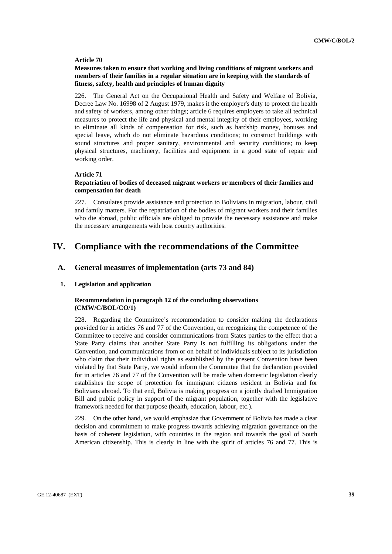#### **Article 70**

# **Measures taken to ensure that working and living conditions of migrant workers and members of their families in a regular situation are in keeping with the standards of fitness, safety, health and principles of human dignity**

226. The General Act on the Occupational Health and Safety and Welfare of Bolivia, Decree Law No. 16998 of 2 August 1979, makes it the employer's duty to protect the health and safety of workers, among other things; article 6 requires employers to take all technical measures to protect the life and physical and mental integrity of their employees, working to eliminate all kinds of compensation for risk, such as hardship money, bonuses and special leave, which do not eliminate hazardous conditions; to construct buildings with sound structures and proper sanitary, environmental and security conditions; to keep physical structures, machinery, facilities and equipment in a good state of repair and working order.

### **Article 71**

# **Repatriation of bodies of deceased migrant workers or members of their families and compensation for death**

227. Consulates provide assistance and protection to Bolivians in migration, labour, civil and family matters. For the repatriation of the bodies of migrant workers and their families who die abroad, public officials are obliged to provide the necessary assistance and make the necessary arrangements with host country authorities.

# **IV. Compliance with the recommendations of the Committee**

# **A. General measures of implementation (arts 73 and 84)**

#### **1. Legislation and application**

# **Recommendation in paragraph 12 of the concluding observations (CMW/C/BOL/CO/1)**

228. Regarding the Committee's recommendation to consider making the declarations provided for in articles 76 and 77 of the Convention, on recognizing the competence of the Committee to receive and consider communications from States parties to the effect that a State Party claims that another State Party is not fulfilling its obligations under the Convention, and communications from or on behalf of individuals subject to its jurisdiction who claim that their individual rights as established by the present Convention have been violated by that State Party, we would inform the Committee that the declaration provided for in articles 76 and 77 of the Convention will be made when domestic legislation clearly establishes the scope of protection for immigrant citizens resident in Bolivia and for Bolivians abroad. To that end, Bolivia is making progress on a jointly drafted Immigration Bill and public policy in support of the migrant population, together with the legislative framework needed for that purpose (health, education, labour, etc.).

229. On the other hand, we would emphasize that Government of Bolivia has made a clear decision and commitment to make progress towards achieving migration governance on the basis of coherent legislation, with countries in the region and towards the goal of South American citizenship. This is clearly in line with the spirit of articles 76 and 77. This is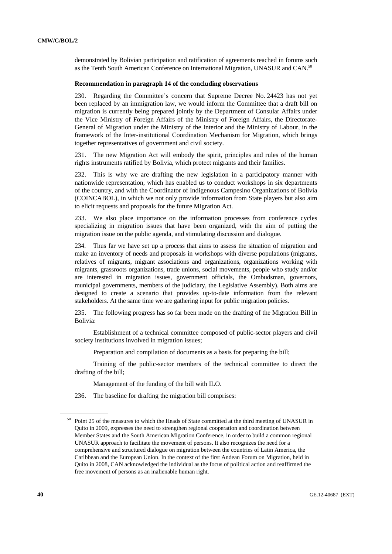demonstrated by Bolivian participation and ratification of agreements reached in forums such as the Tenth South American Conference on International Migration, UNASUR and CAN.50

### **Recommendation in paragraph 14 of the concluding observations**

230. Regarding the Committee's concern that Supreme Decree No. 24423 has not yet been replaced by an immigration law, we would inform the Committee that a draft bill on migration is currently being prepared jointly by the Department of Consular Affairs under the Vice Ministry of Foreign Affairs of the Ministry of Foreign Affairs, the Directorate-General of Migration under the Ministry of the Interior and the Ministry of Labour, in the framework of the Inter-institutional Coordination Mechanism for Migration, which brings together representatives of government and civil society.

231. The new Migration Act will embody the spirit, principles and rules of the human rights instruments ratified by Bolivia, which protect migrants and their families.

232. This is why we are drafting the new legislation in a participatory manner with nationwide representation, which has enabled us to conduct workshops in six departments of the country, and with the Coordinator of Indigenous Campesino Organizations of Bolivia (COINCABOL), in which we not only provide information from State players but also aim to elicit requests and proposals for the future Migration Act.

233. We also place importance on the information processes from conference cycles specializing in migration issues that have been organized, with the aim of putting the migration issue on the public agenda, and stimulating discussion and dialogue.

234. Thus far we have set up a process that aims to assess the situation of migration and make an inventory of needs and proposals in workshops with diverse populations (migrants, relatives of migrants, migrant associations and organizations, organizations working with migrants, grassroots organizations, trade unions, social movements, people who study and/or are interested in migration issues, government officials, the Ombudsman, governors, municipal governments, members of the judiciary, the Legislative Assembly). Both aims are designed to create a scenario that provides up-to-date information from the relevant stakeholders. At the same time we are gathering input for public migration policies.

235. The following progress has so far been made on the drafting of the Migration Bill in Bolivia:

Establishment of a technical committee composed of public-sector players and civil society institutions involved in migration issues;

Preparation and compilation of documents as a basis for preparing the bill;

Training of the public-sector members of the technical committee to direct the drafting of the bill;

Management of the funding of the bill with ILO.

236. The baseline for drafting the migration bill comprises:

<sup>&</sup>lt;sup>50</sup> Point 25 of the measures to which the Heads of State committed at the third meeting of UNASUR in Quito in 2009, expresses the need to strengthen regional cooperation and coordination between Member States and the South American Migration Conference, in order to build a common regional UNASUR approach to facilitate the movement of persons. It also recognizes the need for a comprehensive and structured dialogue on migration between the countries of Latin America, the Caribbean and the European Union. In the context of the first Andean Forum on Migration, held in Quito in 2008, CAN acknowledged the individual as the focus of political action and reaffirmed the free movement of persons as an inalienable human right.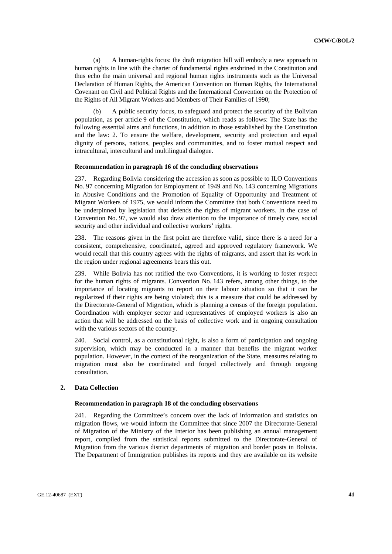(a) A human-rights focus: the draft migration bill will embody a new approach to human rights in line with the charter of fundamental rights enshrined in the Constitution and thus echo the main universal and regional human rights instruments such as the Universal Declaration of Human Rights, the American Convention on Human Rights, the International Covenant on Civil and Political Rights and the International Convention on the Protection of the Rights of All Migrant Workers and Members of Their Families of 1990;

 (b) A public security focus, to safeguard and protect the security of the Bolivian population, as per article 9 of the Constitution, which reads as follows: The State has the following essential aims and functions, in addition to those established by the Constitution and the law: 2. To ensure the welfare, development, security and protection and equal dignity of persons, nations, peoples and communities, and to foster mutual respect and intracultural, intercultural and multilingual dialogue.

#### **Recommendation in paragraph 16 of the concluding observations**

237. Regarding Bolivia considering the accession as soon as possible to ILO Conventions No. 97 concerning Migration for Employment of 1949 and No. 143 concerning Migrations in Abusive Conditions and the Promotion of Equality of Opportunity and Treatment of Migrant Workers of 1975, we would inform the Committee that both Conventions need to be underpinned by legislation that defends the rights of migrant workers. In the case of Convention No. 97, we would also draw attention to the importance of timely care, social security and other individual and collective workers' rights.

238. The reasons given in the first point are therefore valid, since there is a need for a consistent, comprehensive, coordinated, agreed and approved regulatory framework. We would recall that this country agrees with the rights of migrants, and assert that its work in the region under regional agreements bears this out.

239. While Bolivia has not ratified the two Conventions, it is working to foster respect for the human rights of migrants. Convention No. 143 refers, among other things, to the importance of locating migrants to report on their labour situation so that it can be regularized if their rights are being violated; this is a measure that could be addressed by the Directorate-General of Migration, which is planning a census of the foreign population. Coordination with employer sector and representatives of employed workers is also an action that will be addressed on the basis of collective work and in ongoing consultation with the various sectors of the country.

240. Social control, as a constitutional right, is also a form of participation and ongoing supervision, which may be conducted in a manner that benefits the migrant worker population. However, in the context of the reorganization of the State, measures relating to migration must also be coordinated and forged collectively and through ongoing consultation.

#### **2. Data Collection**

#### **Recommendation in paragraph 18 of the concluding observations**

241. Regarding the Committee's concern over the lack of information and statistics on migration flows, we would inform the Committee that since 2007 the Directorate-General of Migration of the Ministry of the Interior has been publishing an annual management report, compiled from the statistical reports submitted to the Directorate-General of Migration from the various district departments of migration and border posts in Bolivia. The Department of Immigration publishes its reports and they are available on its website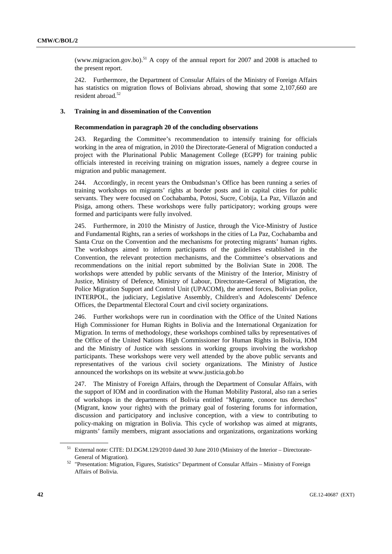(www.migracion.gov.bo).<sup>51</sup> A copy of the annual report for 2007 and 2008 is attached to the present report.

242. Furthermore, the Department of Consular Affairs of the Ministry of Foreign Affairs has statistics on migration flows of Bolivians abroad, showing that some 2,107,660 are resident abroad.52

# **3. Training in and dissemination of the Convention**

#### **Recommendation in paragraph 20 of the concluding observations**

243. Regarding the Committee's recommendation to intensify training for officials working in the area of migration, in 2010 the Directorate-General of Migration conducted a project with the Plurinational Public Management College (EGPP) for training public officials interested in receiving training on migration issues, namely a degree course in migration and public management.

244. Accordingly, in recent years the Ombudsman's Office has been running a series of training workshops on migrants' rights at border posts and in capital cities for public servants. They were focused on Cochabamba, Potosi, Sucre, Cobija, La Paz, Villazón and Pisiga, among others. These workshops were fully participatory; working groups were formed and participants were fully involved.

245. Furthermore, in 2010 the Ministry of Justice, through the Vice-Ministry of Justice and Fundamental Rights, ran a series of workshops in the cities of La Paz, Cochabamba and Santa Cruz on the Convention and the mechanisms for protecting migrants' human rights. The workshops aimed to inform participants of the guidelines established in the Convention, the relevant protection mechanisms, and the Committee's observations and recommendations on the initial report submitted by the Bolivian State in 2008. The workshops were attended by public servants of the Ministry of the Interior, Ministry of Justice, Ministry of Defence, Ministry of Labour, Directorate-General of Migration, the Police Migration Support and Control Unit (UPACOM), the armed forces, Bolivian police, INTERPOL, the judiciary, Legislative Assembly, Children's and Adolescents' Defence Offices, the Departmental Electoral Court and civil society organizations.

246. Further workshops were run in coordination with the Office of the United Nations High Commissioner for Human Rights in Bolivia and the International Organization for Migration. In terms of methodology, these workshops combined talks by representatives of the Office of the United Nations High Commissioner for Human Rights in Bolivia, IOM and the Ministry of Justice with sessions in working groups involving the workshop participants. These workshops were very well attended by the above public servants and representatives of the various civil society organizations. The Ministry of Justice announced the workshops on its website at www.justicia.gob.bo

247. The Ministry of Foreign Affairs, through the Department of Consular Affairs, with the support of IOM and in coordination with the Human Mobility Pastoral, also ran a series of workshops in the departments of Bolivia entitled "Migrante, conoce tus derechos" (Migrant, know your rights) with the primary goal of fostering forums for information, discussion and participatory and inclusive conception, with a view to contributing to policy-making on migration in Bolivia. This cycle of workshop was aimed at migrants, migrants' family members, migrant associations and organizations, organizations working

<sup>51</sup> External note: CITE: DJ.DGM.129/2010 dated 30 June 2010 (Ministry of the Interior – Directorate-

General of Migration). 52 "Presentation: Migration, Figures, Statistics" Department of Consular Affairs – Ministry of Foreign Affairs of Bolivia.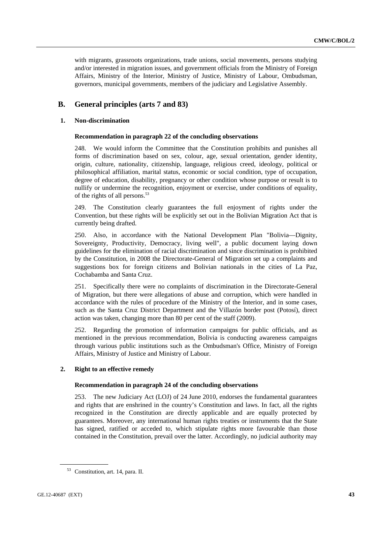with migrants, grassroots organizations, trade unions, social movements, persons studying and/or interested in migration issues, and government officials from the Ministry of Foreign Affairs, Ministry of the Interior, Ministry of Justice, Ministry of Labour, Ombudsman, governors, municipal governments, members of the judiciary and Legislative Assembly.

# **B. General principles (arts 7 and 83)**

### **1. Non-discrimination**

#### **Recommendation in paragraph 22 of the concluding observations**

248. We would inform the Committee that the Constitution prohibits and punishes all forms of discrimination based on sex, colour, age, sexual orientation, gender identity, origin, culture, nationality, citizenship, language, religious creed, ideology, political or philosophical affiliation, marital status, economic or social condition, type of occupation, degree of education, disability, pregnancy or other condition whose purpose or result is to nullify or undermine the recognition, enjoyment or exercise, under conditions of equality, of the rights of all persons.53

249. The Constitution clearly guarantees the full enjoyment of rights under the Convention, but these rights will be explicitly set out in the Bolivian Migration Act that is currently being drafted.

250. Also, in accordance with the National Development Plan "Bolivia—Dignity, Sovereignty, Productivity, Democracy, living well", a public document laying down guidelines for the elimination of racial discrimination and since discrimination is prohibited by the Constitution, in 2008 the Directorate-General of Migration set up a complaints and suggestions box for foreign citizens and Bolivian nationals in the cities of La Paz, Cochabamba and Santa Cruz.

251. Specifically there were no complaints of discrimination in the Directorate-General of Migration, but there were allegations of abuse and corruption, which were handled in accordance with the rules of procedure of the Ministry of the Interior, and in some cases, such as the Santa Cruz District Department and the Villazón border post (Potosí), direct action was taken, changing more than 80 per cent of the staff (2009).

252. Regarding the promotion of information campaigns for public officials, and as mentioned in the previous recommendation, Bolivia is conducting awareness campaigns through various public institutions such as the Ombudsman's Office, Ministry of Foreign Affairs, Ministry of Justice and Ministry of Labour.

#### **2. Right to an effective remedy**

#### **Recommendation in paragraph 24 of the concluding observations**

253. The new Judiciary Act (LOJ) of 24 June 2010, endorses the fundamental guarantees and rights that are enshrined in the country's Constitution and laws. In fact, all the rights recognized in the Constitution are directly applicable and are equally protected by guarantees. Moreover, any international human rights treaties or instruments that the State has signed, ratified or acceded to, which stipulate rights more favourable than those contained in the Constitution, prevail over the latter. Accordingly, no judicial authority may

<sup>53</sup> Constitution, art. 14, para. II.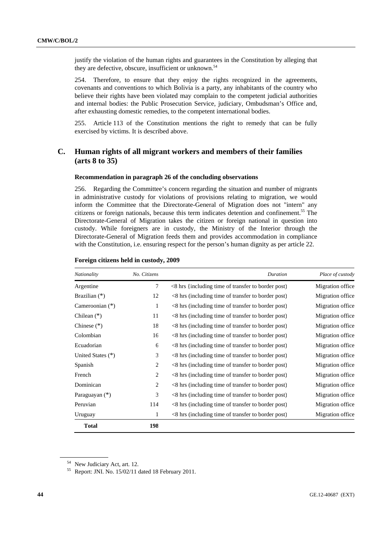justify the violation of the human rights and guarantees in the Constitution by alleging that they are defective, obscure, insufficient or unknown.<sup>54</sup>

254. Therefore, to ensure that they enjoy the rights recognized in the agreements, covenants and conventions to which Bolivia is a party, any inhabitants of the country who believe their rights have been violated may complain to the competent judicial authorities and internal bodies: the Public Prosecution Service, judiciary, Ombudsman's Office and, after exhausting domestic remedies, to the competent international bodies.

255. Article 113 of the Constitution mentions the right to remedy that can be fully exercised by victims. It is described above.

# **C. Human rights of all migrant workers and members of their families (arts 8 to 35)**

### **Recommendation in paragraph 26 of the concluding observations**

256. Regarding the Committee's concern regarding the situation and number of migrants in administrative custody for violations of provisions relating to migration, we would inform the Committee that the Directorate-General of Migration does not "intern" any citizens or foreign nationals, because this term indicates detention and confinement.<sup>55</sup> The Directorate-General of Migration takes the citizen or foreign national in question into custody. While foreigners are in custody, the Ministry of the Interior through the Directorate-General of Migration feeds them and provides accommodation in compliance with the Constitution, i.e. ensuring respect for the person's human dignity as per article 22.

| Nationality       | No. Citizens | Duration                                                 | Place of custody |
|-------------------|--------------|----------------------------------------------------------|------------------|
| Argentine         | $\tau$       | $\leq$ 8 hrs {including time of transfer to border post} | Migration office |
| Brazilian $(*)$   | 12           | $\leq$ 8 hrs (including time of transfer to border post) | Migration office |
| Cameroonian $(*)$ | $\mathbf{1}$ | $\leq$ 8 hrs (including time of transfer to border post) | Migration office |
| Chilean $(*)$     | 11           | $<8$ hrs (including time of transfer to border post)     | Migration office |
| Chinese $(*)$     | 18           | $\leq$ 8 hrs (including time of transfer to border post) | Migration office |
| Colombian         | 16           | $\leq$ 8 hrs (including time of transfer to border post) | Migration office |
| Ecuadorian        | 6            | $\leq$ 8 hrs (including time of transfer to border post) | Migration office |
| United States (*) | 3            | $\leq$ 8 hrs (including time of transfer to border post) | Migration office |
| Spanish           | 2            | $\leq$ 8 hrs (including time of transfer to border post) | Migration office |
| French            | 2            | $\leq$ 8 hrs (including time of transfer to border post) | Migration office |
| Dominican         | 2            | $\leq$ 8 hrs (including time of transfer to border post) | Migration office |
| Paraguayan $(*)$  | 3            | $\leq$ 8 hrs (including time of transfer to border post) | Migration office |
| Peruvian          | 114          | $\leq$ 8 hrs (including time of transfer to border post) | Migration office |
| Uruguay           | 1            | <8 hrs (including time of transfer to border post)       | Migration office |
| <b>Total</b>      | 198          |                                                          |                  |

#### **Foreign citizens held in custody, 2009**

<sup>54</sup> New Judiciary Act, art. 12.

<sup>55</sup> Report: JNI. No. 15/02/11 dated 18 February 2011.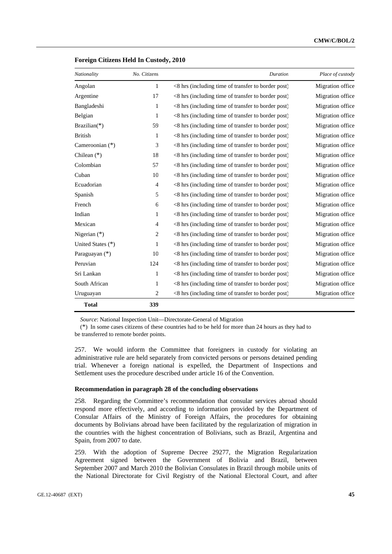| Nationality       | No. Citizens   | Duration                                              | Place of custody |
|-------------------|----------------|-------------------------------------------------------|------------------|
| Angolan           | $\mathbf{1}$   | <8 hrs (including time of transfer to border post)    | Migration office |
| Argentine         | 17             | <8 hrs (including time of transfer to border post)    | Migration office |
| Bangladeshi       | $\mathbf{1}$   | $<$ 8 hrs (including time of transfer to border post) | Migration office |
| Belgian           | $\mathbf{1}$   | $<$ 8 hrs (including time of transfer to border post) | Migration office |
| Brazilian( $*$ )  | 59             | $<$ 8 hrs (including time of transfer to border post) | Migration office |
| <b>British</b>    | 1              | <8 hrs (including time of transfer to border post)    | Migration office |
| Cameroonian $(*)$ | 3              | <8 hrs (including time of transfer to border post)    | Migration office |
| Chilean $(*)$     | 18             | <8 hrs (including time of transfer to border post)    | Migration office |
| Colombian         | 57             | <8 hrs (including time of transfer to border post)    | Migration office |
| Cuban             | 10             | <8 hrs (including time of transfer to border post)    | Migration office |
| Ecuadorian        | 4              | $<$ 8 hrs (including time of transfer to border post) | Migration office |
| Spanish           | 5              | $<$ 8 hrs (including time of transfer to border post) | Migration office |
| French            | 6              | $<$ 8 hrs (including time of transfer to border post) | Migration office |
| Indian            | 1              | <8 hrs (including time of transfer to border post)    | Migration office |
| Mexican           | 4              | <8 hrs (including time of transfer to border post)    | Migration office |
| Nigerian (*)      | $\overline{c}$ | <8 hrs (including time of transfer to border post)    | Migration office |
| United States (*) | 1              | <8 hrs (including time of transfer to border post)    | Migration office |
| Paraguayan (*)    | 10             | <8 hrs (including time of transfer to border post)    | Migration office |
| Peruvian          | 124            | $<$ 8 hrs (including time of transfer to border post) | Migration office |
| Sri Lankan        | 1              | $<$ 8 hrs (including time of transfer to border post) | Migration office |
| South African     | 1              | $<$ 8 hrs (including time of transfer to border post) | Migration office |
| Uruguayan         | $\overline{c}$ | <8 hrs (including time of transfer to border post)    | Migration office |
| <b>Total</b>      | 339            |                                                       |                  |

#### **Foreign Citizens Held In Custody, 2010**

*Source*: National Inspection Unit—Directorate-General of Migration

(\*) In some cases citizens of these countries had to be held for more than 24 hours as they had to be transferred to remote border points.

257. We would inform the Committee that foreigners in custody for violating an administrative rule are held separately from convicted persons or persons detained pending trial. Whenever a foreign national is expelled, the Department of Inspections and Settlement uses the procedure described under article 16 of the Convention.

#### **Recommendation in paragraph 28 of the concluding observations**

258. Regarding the Committee's recommendation that consular services abroad should respond more effectively, and according to information provided by the Department of Consular Affairs of the Ministry of Foreign Affairs, the procedures for obtaining documents by Bolivians abroad have been facilitated by the regularization of migration in the countries with the highest concentration of Bolivians, such as Brazil, Argentina and Spain, from 2007 to date.

259. With the adoption of Supreme Decree 29277, the Migration Regularization Agreement signed between the Government of Bolivia and Brazil, between September 2007 and March 2010 the Bolivian Consulates in Brazil through mobile units of the National Directorate for Civil Registry of the National Electoral Court, and after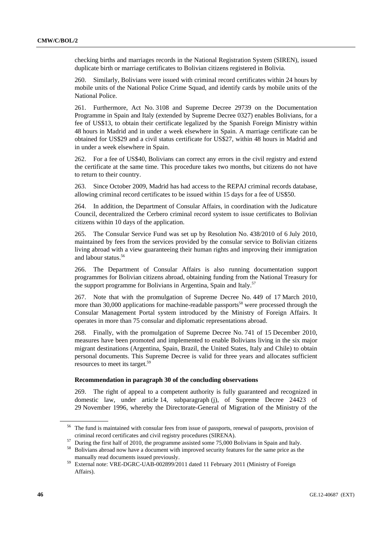checking births and marriages records in the National Registration System (SIREN), issued duplicate birth or marriage certificates to Bolivian citizens registered in Bolivia.

260. Similarly, Bolivians were issued with criminal record certificates within 24 hours by mobile units of the National Police Crime Squad, and identify cards by mobile units of the National Police.

261. Furthermore, Act No. 3108 and Supreme Decree 29739 on the Documentation Programme in Spain and Italy (extended by Supreme Decree 0327) enables Bolivians, for a fee of US\$13, to obtain their certificate legalized by the Spanish Foreign Ministry within 48 hours in Madrid and in under a week elsewhere in Spain. A marriage certificate can be obtained for US\$29 and a civil status certificate for US\$27, within 48 hours in Madrid and in under a week elsewhere in Spain.

262. For a fee of US\$40, Bolivians can correct any errors in the civil registry and extend the certificate at the same time. This procedure takes two months, but citizens do not have to return to their country.

263. Since October 2009, Madrid has had access to the REPAJ criminal records database, allowing criminal record certificates to be issued within 15 days for a fee of US\$50.

264. In addition, the Department of Consular Affairs, in coordination with the Judicature Council, decentralized the Cerbero criminal record system to issue certificates to Bolivian citizens within 10 days of the application.

265. The Consular Service Fund was set up by Resolution No. 438/2010 of 6 July 2010, maintained by fees from the services provided by the consular service to Bolivian citizens living abroad with a view guaranteeing their human rights and improving their immigration and labour status.<sup>56</sup>

266. The Department of Consular Affairs is also running documentation support programmes for Bolivian citizens abroad, obtaining funding from the National Treasury for the support programme for Bolivians in Argentina, Spain and Italy.<sup>57</sup>

267. Note that with the promulgation of Supreme Decree No. 449 of 17 March 2010, more than 30,000 applications for machine-readable passports<sup>58</sup> were processed through the Consular Management Portal system introduced by the Ministry of Foreign Affairs. It operates in more than 75 consular and diplomatic representations abroad.

268. Finally, with the promulgation of Supreme Decree No. 741 of 15 December 2010, measures have been promoted and implemented to enable Bolivians living in the six major migrant destinations (Argentina, Spain, Brazil, the United States, Italy and Chile) to obtain personal documents. This Supreme Decree is valid for three years and allocates sufficient resources to meet its target.59

#### **Recommendation in paragraph 30 of the concluding observations**

269. The right of appeal to a competent authority is fully guaranteed and recognized in domestic law, under article 14, subparagraph (j), of Supreme Decree 24423 of 29 November 1996, whereby the Directorate-General of Migration of the Ministry of the

<sup>&</sup>lt;sup>56</sup> The fund is maintained with consular fees from issue of passports, renewal of passports, provision of

criminal record certificates and civil registry procedures (SIRENA).<br><sup>57</sup> During the first half of 2010, the programme assisted some 75,000 Bolivians in Spain and Italy.<br><sup>58</sup> Bolivians abroad now have a document with impro

manually read documents issued previously. 59 External note: VRE-DGRC-UAB-002899/2011 dated 11 February 2011 (Ministry of Foreign Affairs).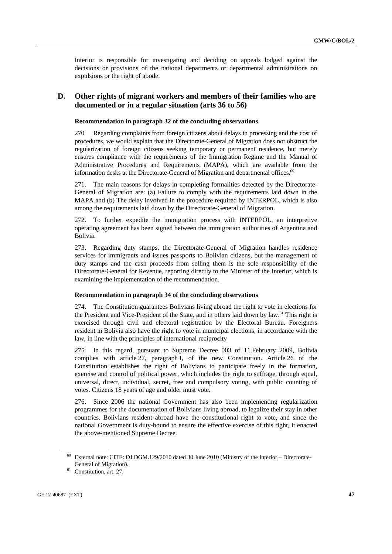Interior is responsible for investigating and deciding on appeals lodged against the decisions or provisions of the national departments or departmental administrations on expulsions or the right of abode.

# **D. Other rights of migrant workers and members of their families who are documented or in a regular situation (arts 36 to 56)**

#### **Recommendation in paragraph 32 of the concluding observations**

270. Regarding complaints from foreign citizens about delays in processing and the cost of procedures, we would explain that the Directorate-General of Migration does not obstruct the regularization of foreign citizens seeking temporary or permanent residence, but merely ensures compliance with the requirements of the Immigration Regime and the Manual of Administrative Procedures and Requirements (MAPA), which are available from the information desks at the Directorate-General of Migration and departmental offices.<sup>60</sup>

271. The main reasons for delays in completing formalities detected by the Directorate-General of Migration are: (a) Failure to comply with the requirements laid down in the MAPA and (b) The delay involved in the procedure required by INTERPOL, which is also among the requirements laid down by the Directorate-General of Migration.

272. To further expedite the immigration process with INTERPOL, an interpretive operating agreement has been signed between the immigration authorities of Argentina and Bolivia.

273. Regarding duty stamps, the Directorate-General of Migration handles residence services for immigrants and issues passports to Bolivian citizens, but the management of duty stamps and the cash proceeds from selling them is the sole responsibility of the Directorate-General for Revenue, reporting directly to the Minister of the Interior, which is examining the implementation of the recommendation.

#### **Recommendation in paragraph 34 of the concluding observations**

274. The Constitution guarantees Bolivians living abroad the right to vote in elections for the President and Vice-President of the State, and in others laid down by law.<sup>61</sup> This right is exercised through civil and electoral registration by the Electoral Bureau. Foreigners resident in Bolivia also have the right to vote in municipal elections, in accordance with the law, in line with the principles of international reciprocity

275. In this regard, pursuant to Supreme Decree 003 of 11 February 2009, Bolivia complies with article 27, paragraph I, of the new Constitution. Article 26 of the Constitution establishes the right of Bolivians to participate freely in the formation, exercise and control of political power, which includes the right to suffrage, through equal, universal, direct, individual, secret, free and compulsory voting, with public counting of votes. Citizens 18 years of age and older must vote.

276. Since 2006 the national Government has also been implementing regularization programmes for the documentation of Bolivians living abroad, to legalize their stay in other countries. Bolivians resident abroad have the constitutional right to vote, and since the national Government is duty-bound to ensure the effective exercise of this right, it enacted the above-mentioned Supreme Decree.

<sup>60</sup> External note: CITE: DJ.DGM.129/2010 dated 30 June 2010 (Ministry of the Interior – Directorate-General of Migration).<br><sup>61</sup> Constitution, art. 27.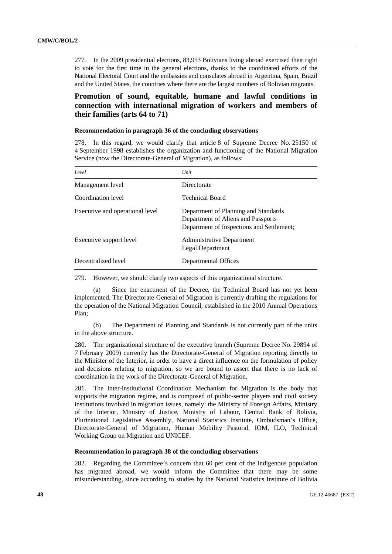277. In the 2009 presidential elections, 83,953 Bolivians living abroad exercised their right to vote for the first time in the general elections, thanks to the coordinated efforts of the National Electoral Court and the embassies and consulates abroad in Argentina, Spain, Brazil and the United States, the countries where there are the largest numbers of Bolivian migrants.

# **Promotion of sound, equitable, humane and lawful conditions in connection with international migration of workers and members of their families (arts 64 to 71)**

#### **Recommendation in paragraph 36 of the concluding observations**

278. In this regard, we would clarify that article 8 of Supreme Decree No. 25150 of 4 September 1998 establishes the organization and functioning of the National Migration Service (now the Directorate-General of Migration), as follows:

| Level                           | Unit                                                                                                                    |
|---------------------------------|-------------------------------------------------------------------------------------------------------------------------|
| Management level                | Directorate                                                                                                             |
| Coordination level              | <b>Technical Board</b>                                                                                                  |
| Executive and operational level | Department of Planning and Standards<br>Department of Aliens and Passports<br>Department of Inspections and Settlement; |
| Executive support level         | Administrative Department<br>Legal Department                                                                           |
| Decentralized level             | Departmental Offices                                                                                                    |

279. However, we should clarify two aspects of this organizational structure.

Since the enactment of the Decree, the Technical Board has not yet been implemented. The Directorate-General of Migration is currently drafting the regulations for the operation of the National Migration Council, established in the 2010 Annual Operations Plan;

 (b) The Department of Planning and Standards is not currently part of the units in the above structure.

280. The organizational structure of the executive branch (Supreme Decree No. 29894 of 7 February 2009) currently has the Directorate-General of Migration reporting directly to the Minister of the Interior, in order to have a direct influence on the formulation of policy and decisions relating to migration, so we are bound to assert that there is no lack of coordination in the work of the Directorate-General of Migration.

281. The Inter-institutional Coordination Mechanism for Migration is the body that supports the migration regime, and is composed of public-sector players and civil society institutions involved in migration issues, namely: the Ministry of Foreign Affairs, Ministry of the Interior, Ministry of Justice, Ministry of Labour, Central Bank of Bolivia, Plurinational Legislative Assembly, National Statistics Institute, Ombudsman's Office, Directorate-General of Migration, Human Mobility Pastoral, IOM, ILO, Technical Working Group on Migration and UNICEF.

#### **Recommendation in paragraph 38 of the concluding observations**

282. Regarding the Committee's concern that 60 per cent of the indigenous population has migrated abroad, we would inform the Committee that there may be some misunderstanding, since according to studies by the National Statistics Institute of Bolivia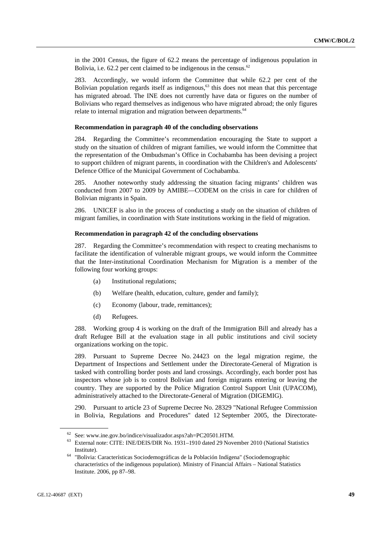in the 2001 Census, the figure of 62.2 means the percentage of indigenous population in Bolivia, i.e.  $62.2$  per cent claimed to be indigenous in the census.<sup>62</sup>

283. Accordingly, we would inform the Committee that while 62.2 per cent of the Bolivian population regards itself as indigenous,<sup>63</sup> this does not mean that this percentage has migrated abroad. The INE does not currently have data or figures on the number of Bolivians who regard themselves as indigenous who have migrated abroad; the only figures relate to internal migration and migration between departments.<sup>64</sup>

#### **Recommendation in paragraph 40 of the concluding observations**

284. Regarding the Committee's recommendation encouraging the State to support a study on the situation of children of migrant families, we would inform the Committee that the representation of the Ombudsman's Office in Cochabamba has been devising a project to support children of migrant parents, in coordination with the Children's and Adolescents' Defence Office of the Municipal Government of Cochabamba.

285. Another noteworthy study addressing the situation facing migrants' children was conducted from 2007 to 2009 by AMIBE—CODEM on the crisis in care for children of Bolivian migrants in Spain.

286. UNICEF is also in the process of conducting a study on the situation of children of migrant families, in coordination with State institutions working in the field of migration.

### **Recommendation in paragraph 42 of the concluding observations**

287. Regarding the Committee's recommendation with respect to creating mechanisms to facilitate the identification of vulnerable migrant groups, we would inform the Committee that the Inter-institutional Coordination Mechanism for Migration is a member of the following four working groups:

- (a) Institutional regulations;
- (b) Welfare (health, education, culture, gender and family);
- (c) Economy (labour, trade, remittances);
- (d) Refugees.

288. Working group 4 is working on the draft of the Immigration Bill and already has a draft Refugee Bill at the evaluation stage in all public institutions and civil society organizations working on the topic.

289. Pursuant to Supreme Decree No. 24423 on the legal migration regime, the Department of Inspections and Settlement under the Directorate-General of Migration is tasked with controlling border posts and land crossings. Accordingly, each border post has inspectors whose job is to control Bolivian and foreign migrants entering or leaving the country. They are supported by the Police Migration Control Support Unit (UPACOM), administratively attached to the Directorate-General of Migration (DIGEMIG).

290. Pursuant to article 23 of Supreme Decree No. 28329 "National Refugee Commission in Bolivia, Regulations and Procedures" dated 12 September 2005, the Directorate-

 $62$  See: www.ine.gov.bo/indice/visualizador.aspx?ah=PC20501.HTM.<br> $63$  External note: CITE: INE/DEIS/DIR No. 1931–1910 dated 29 November 2010 (National Statistics

Institute). 64 "Bolivia: Características Sociodemográficas de la Población Indígena" (Sociodemographic characteristics of the indigenous population). Ministry of Financial Affairs – National Statistics Institute. 2006, pp 87–98.